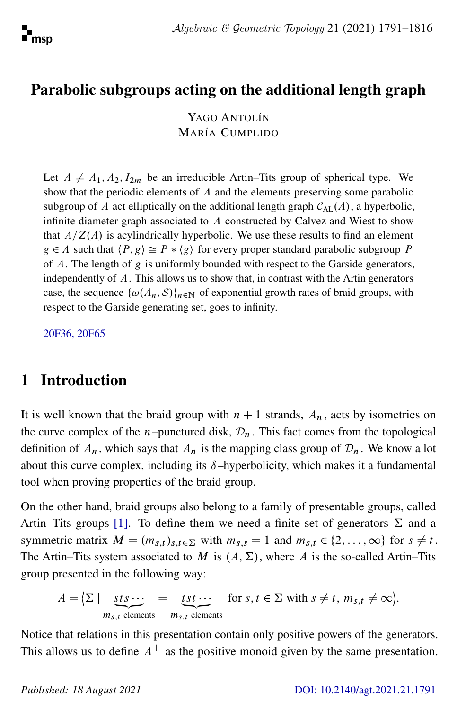

## Parabolic subgroups acting on the additional length graph

YAGO ANTOLÍN MARÍA CUMPLIDO

Let  $A \neq A_1, A_2, I_{2m}$  be an irreducible Artin–Tits group of spherical type. We show that the periodic elements of A and the elements preserving some parabolic subgroup of A act elliptically on the additional length graph  $C_{\text{AL}}(A)$ , a hyperbolic, infinite diameter graph associated to A constructed by Calvez and Wiest to show that  $A/Z(A)$  is acylindrically hyperbolic. We use these results to find an element  $g \in A$  such that  $\langle P, g \rangle \cong P * \langle g \rangle$  for every proper standard parabolic subgroup P of  $A$ . The length of  $g$  is uniformly bounded with respect to the Garside generators, independently of A. This allows us to show that, in contrast with the Artin generators case, the sequence  $\{\omega(A_n, S)\}_{n \in \mathbb{N}}$  of exponential growth rates of braid groups, with respect to the Garside generating set, goes to infinity.

[20F36, 20F65](http://www.ams.org/mathscinet/search/mscdoc.html?code=20F36, 20F65)

### 1 Introduction

It is well known that the braid group with  $n + 1$  strands,  $A_n$ , acts by isometries on the curve complex of the *n*-punctured disk,  $\mathcal{D}_n$ . This fact comes from the topological definition of  $A_n$ , which says that  $A_n$  is the mapping class group of  $\mathcal{D}_n$ . We know a lot about this curve complex, including its  $\delta$ –hyperbolicity, which makes it a fundamental tool when proving properties of the braid group.

On the other hand, braid groups also belong to a family of presentable groups, called Artin–Tits groups [\[1\]](#page-24-0). To define them we need a finite set of generators  $\Sigma$  and a symmetric matrix  $M = (m_{s,t})_{s,t \in \Sigma}$  with  $m_{s,s} = 1$  and  $m_{s,t} \in \{2, \ldots, \infty\}$  for  $s \neq t$ . The Artin–Tits system associated to M is  $(A, \Sigma)$ , where A is the so-called Artin–Tits group presented in the following way:

$$
A = \left\{ \Sigma \mid \underbrace{sts \cdots}_{m_{s,t} \text{ elements}} = \underbrace{tst \cdots}_{m_{s,t} \text{ elements}} \text{ for } s, t \in \Sigma \text{ with } s \neq t, m_{s,t} \neq \infty \right\}.
$$

Notice that relations in this presentation contain only positive powers of the generators. This allows us to define  $A^+$  as the positive monoid given by the same presentation.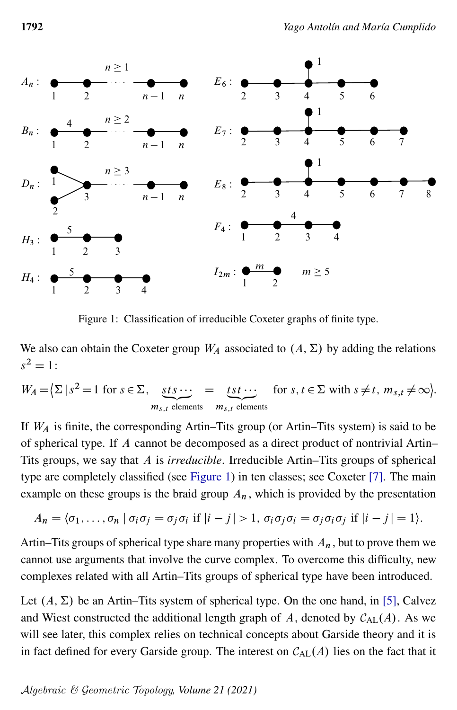<span id="page-1-0"></span>

Figure 1: Classification of irreducible Coxeter graphs of finite type.

We also can obtain the Coxeter group  $W_A$  associated to  $(A, \Sigma)$  by adding the relations  $s^2 = 1$ :

$$
W_A = \left\{ \sum |s^2 = 1 \text{ for } s \in \Sigma, \underbrace{sts \cdots}_{m_{s,t} \text{ elements}} = \underbrace{tst \cdots}_{m_{s,t} \text{ elements}} \text{ for } s, t \in \Sigma \text{ with } s \neq t, m_{s,t} \neq \infty \right\}.
$$

If  $W_A$  is finite, the corresponding Artin–Tits group (or Artin–Tits system) is said to be of spherical type. If A cannot be decomposed as a direct product of nontrivial Artin– Tits groups, we say that A is *irreducible*. Irreducible Artin–Tits groups of spherical type are completely classified (see [Figure 1\)](#page-1-0) in ten classes; see Coxeter [\[7\]](#page-24-1). The main example on these groups is the braid group  $A_n$ , which is provided by the presentation

$$
A_n = \langle \sigma_1, \ldots, \sigma_n | \sigma_i \sigma_j = \sigma_j \sigma_i \text{ if } |i - j| > 1, \sigma_i \sigma_j \sigma_i = \sigma_j \sigma_i \sigma_j \text{ if } |i - j| = 1 \rangle.
$$

Artin–Tits groups of spherical type share many properties with  $A_n$ , but to prove them we cannot use arguments that involve the curve complex. To overcome this difficulty, new complexes related with all Artin–Tits groups of spherical type have been introduced.

Let  $(A, \Sigma)$  be an Artin–Tits system of spherical type. On the one hand, in [\[5\]](#page-24-2), Calvez and Wiest constructed the additional length graph of A, denoted by  $C_{AL}(A)$ . As we will see later, this complex relies on technical concepts about Garside theory and it is in fact defined for every Garside group. The interest on  $C_{AL}(A)$  lies on the fact that it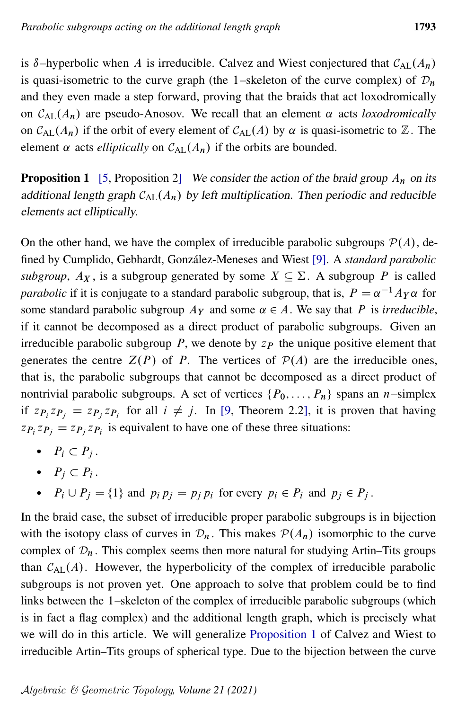is  $\delta$ –hyperbolic when A is irreducible. Calvez and Wiest conjectured that  $C_{AL}(A_n)$ is quasi-isometric to the curve graph (the 1–skeleton of the curve complex) of  $\mathcal{D}_n$ and they even made a step forward, proving that the braids that act loxodromically on  $C_{\text{AL}}(A_n)$  are pseudo-Anosov. We recall that an element  $\alpha$  acts *loxodromically* on  $C_{AL}(A_n)$  if the orbit of every element of  $C_{AL}(A)$  by  $\alpha$  is quasi-isometric to  $\mathbb{Z}$ . The element  $\alpha$  acts *elliptically* on  $C_{AL}(A_n)$  if the orbits are bounded.

<span id="page-2-0"></span>**Proposition 1** [\[5,](#page-24-2) Proposition 2] We consider the action of the braid group  $A_n$  on its additional length graph  $C_{AL}(A_n)$  by left multiplication. Then periodic and reducible elements act elliptically.

On the other hand, we have the complex of irreducible parabolic subgroups  $\mathcal{P}(A)$ , defined by Cumplido, Gebhardt, González-Meneses and Wiest [\[9\]](#page-24-3). A *standard parabolic subgroup*,  $A_X$ , is a subgroup generated by some  $X \subseteq \Sigma$ . A subgroup P is called *parabolic* if it is conjugate to a standard parabolic subgroup, that is,  $P = \alpha^{-1} A_Y \alpha$  for some standard parabolic subgroup  $Ay$  and some  $\alpha \in A$ . We say that P is *irreducible*, if it cannot be decomposed as a direct product of parabolic subgroups. Given an irreducible parabolic subgroup  $P$ , we denote by  $z_P$  the unique positive element that generates the centre  $Z(P)$  of P. The vertices of  $P(A)$  are the irreducible ones, that is, the parabolic subgroups that cannot be decomposed as a direct product of nontrivial parabolic subgroups. A set of vertices  $\{P_0, \ldots, P_n\}$  spans an *n*–simplex if  $z_{P_i}z_{P_j} = z_{P_j}z_{P_i}$  for all  $i \neq j$ . In [\[9,](#page-24-3) Theorem 2.2], it is proven that having  $z_{\textbf{P}_i} z_{\textbf{P}_j} = z_{\textbf{P}_j} z_{\textbf{P}_i}$  is equivalent to have one of these three situations:

- $\bullet$   $P_i \subset P_j$ .
- $P_j \subset P_i$ .
- $P_i \cup P_j = \{1\}$  and  $p_i p_j = p_j p_i$  for every  $p_i \in P_i$  and  $p_j \in P_j$ .

In the braid case, the subset of irreducible proper parabolic subgroups is in bijection with the isotopy class of curves in  $\mathcal{D}_n$ . This makes  $\mathcal{P}(A_n)$  isomorphic to the curve complex of  $\mathcal{D}_n$ . This complex seems then more natural for studying Artin–Tits groups than  $C_{AL}(A)$ . However, the hyperbolicity of the complex of irreducible parabolic subgroups is not proven yet. One approach to solve that problem could be to find links between the 1–skeleton of the complex of irreducible parabolic subgroups (which is in fact a flag complex) and the additional length graph, which is precisely what we will do in this article. We will generalize [Proposition 1](#page-2-0) of Calvez and Wiest to irreducible Artin–Tits groups of spherical type. Due to the bijection between the curve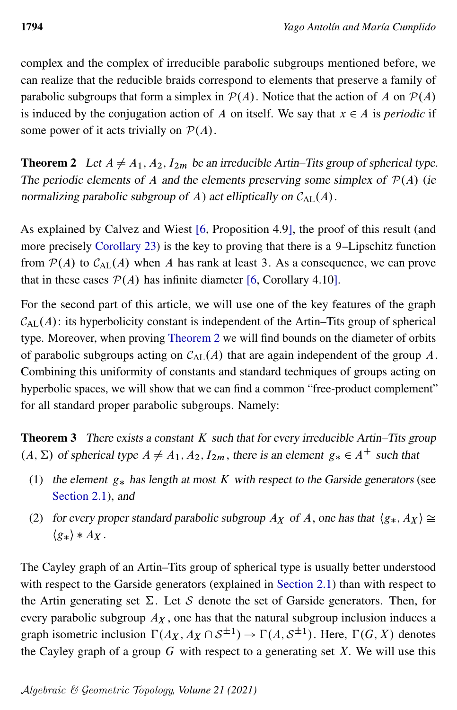complex and the complex of irreducible parabolic subgroups mentioned before, we can realize that the reducible braids correspond to elements that preserve a family of parabolic subgroups that form a simplex in  $P(A)$ . Notice that the action of A on  $P(A)$ is induced by the conjugation action of A on itself. We say that  $x \in A$  is *periodic* if some power of it acts trivially on  $P(A)$ .

<span id="page-3-0"></span>**Theorem 2** Let  $A \neq A_1, A_2, I_{2m}$  be an irreducible Artin–Tits group of spherical type. The periodic elements of A and the elements preserving some simplex of  $\mathcal{P}(A)$  (ie normalizing parabolic subgroup of A) act elliptically on  $C_{\text{AL}}(A)$ .

As explained by Calvez and Wiest [\[6,](#page-24-4) Proposition 4.9], the proof of this result (and more precisely [Corollary 23\)](#page-13-0) is the key to proving that there is a 9–Lipschitz function from  $P(A)$  to  $C_{AL}(A)$  when A has rank at least 3. As a consequence, we can prove that in these cases  $P(A)$  has infinite diameter [\[6,](#page-24-4) Corollary 4.10].

For the second part of this article, we will use one of the key features of the graph  $C_{AL}(A)$ : its hyperbolicity constant is independent of the Artin–Tits group of spherical type. Moreover, when proving [Theorem 2](#page-3-0) we will find bounds on the diameter of orbits of parabolic subgroups acting on  $C_{AL}(A)$  that are again independent of the group A. Combining this uniformity of constants and standard techniques of groups acting on hyperbolic spaces, we will show that we can find a common "free-product complement" for all standard proper parabolic subgroups. Namely:

<span id="page-3-1"></span>**Theorem 3** There exists a constant  $K$  such that for every irreducible Artin–Tits group  $(A, \Sigma)$  of spherical type  $A \neq A_1, A_2, I_{2m}$ , there is an element  $g_* \in A^+$  such that

- (1) the element  $g_*$  has length at most K with respect to the Garside generators (see [Section 2.1\)](#page-4-0), and
- (2) for every proper standard parabolic subgroup  $A_X$  of A, one has that  $\langle g_*, A_X \rangle \cong$  $\langle g_* \rangle * A_X$ .

The Cayley graph of an Artin–Tits group of spherical type is usually better understood with respect to the Garside generators (explained in [Section 2.1\)](#page-4-0) than with respect to the Artin generating set  $\Sigma$ . Let S denote the set of Garside generators. Then, for every parabolic subgroup  $A_X$ , one has that the natural subgroup inclusion induces a graph isometric inclusion  $\Gamma(A_X, A_X \cap S^{\pm 1}) \to \Gamma(A, S^{\pm 1})$ . Here,  $\Gamma(G, X)$  denotes the Cayley graph of a group  $G$  with respect to a generating set  $X$ . We will use this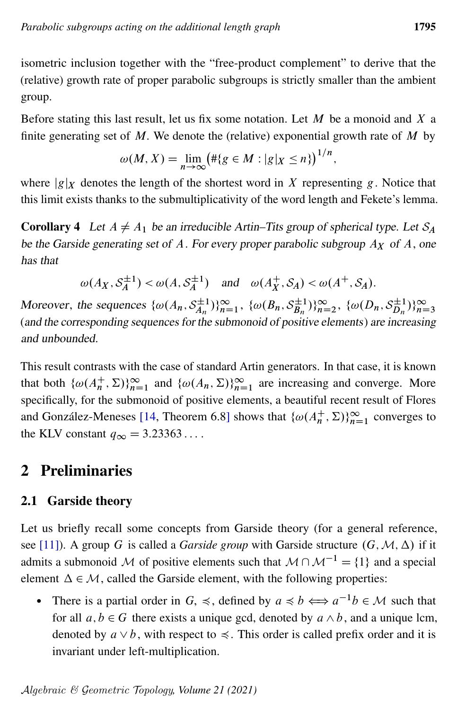isometric inclusion together with the "free-product complement" to derive that the (relative) growth rate of proper parabolic subgroups is strictly smaller than the ambient group.

Before stating this last result, let us fix some notation. Let  $M$  be a monoid and  $X$  a finite generating set of  $M$ . We denote the (relative) exponential growth rate of  $M$  by

$$
\omega(M, X) = \lim_{n \to \infty} \left( \# \{ g \in M : |g|_X \le n \} \right)^{1/n},
$$

where  $|g|_X$  denotes the length of the shortest word in X representing g. Notice that this limit exists thanks to the submultiplicativity of the word length and Fekete's lemma.

<span id="page-4-1"></span>**Corollary 4** Let  $A \neq A_1$  be an irreducible Artin–Tits group of spherical type. Let  $S_A$ be the Garside generating set of A. For every proper parabolic subgroup  $A_X$  of A, one has that

$$
\omega(A_X, \mathcal{S}_A^{\pm 1}) < \omega(A, \mathcal{S}_A^{\pm 1})
$$
 and  $\omega(A_X^+, \mathcal{S}_A) < \omega(A^+, \mathcal{S}_A)$ .

Moreover, the sequences  $\{\omega(A_n, S_{A_n}^{\pm 1} \})$  $\{\hat{a}_{n}^{\pm 1}\}_{n=1}^{\infty}, \{\omega(B_n, S_{B_n}^{\pm 1})\}$  $\{\hat{B}_n^{\pm 1}\}_{n=2}^{\infty}, \{\omega(D_n, S_{D_n}^{\pm 1})\}$  $\sum_{n=1}^{\infty}$ )} $\sum_{n=3}^{\infty}$ (and the corresponding sequences for the submonoid of positive elements) are increasing and unbounded.

This result contrasts with the case of standard Artin generators. In that case, it is known that both  $\{\omega(A_n^+, \Sigma)\}_{n=1}^\infty$  and  $\{\omega(A_n, \Sigma)\}_{n=1}^\infty$  are increasing and converge. More specifically, for the submonoid of positive elements, a beautiful recent result of Flores and González-Meneses [\[14,](#page-25-0) Theorem 6.8] shows that  $\{\omega(A_n^+, \Sigma)\}_{n=1}^\infty$  converges to the KLV constant  $q_{\infty} = 3.23363...$ 

# 2 Preliminaries

### <span id="page-4-0"></span>2.1 Garside theory

Let us briefly recall some concepts from Garside theory (for a general reference, see [\[11\]](#page-24-5)). A group G is called a *Garside group* with Garside structure  $(G, \mathcal{M}, \Delta)$  if it admits a submonoid M of positive elements such that  $M \cap M^{-1} = \{1\}$  and a special element  $\Delta \in \mathcal{M}$ , called the Garside element, with the following properties:

• There is a partial order in  $G$ ,  $\preccurlyeq$ , defined by  $a \preccurlyeq b \Longleftrightarrow a^{-1}b \in \mathcal{M}$  such that for all  $a, b \in G$  there exists a unique gcd, denoted by  $a \wedge b$ , and a unique lcm, denoted by  $a \vee b$ , with respect to  $\preccurlyeq$ . This order is called prefix order and it is invariant under left-multiplication.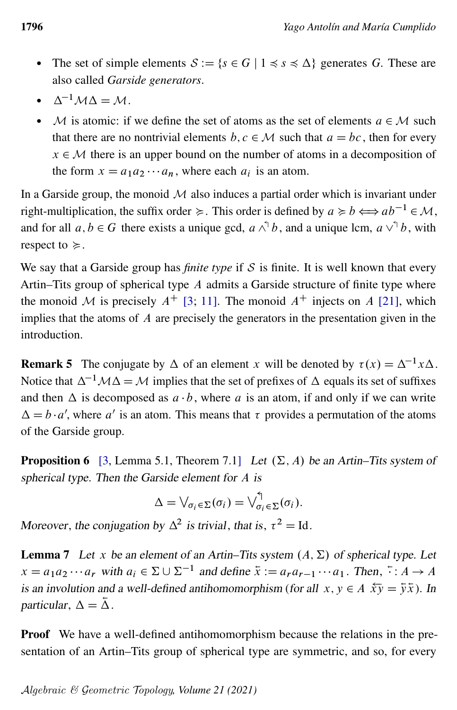- The set of simple elements  $S := \{s \in G \mid 1 \le s \le \Delta\}$  generates G. These are also called *Garside generators*.
- $\Lambda^{-1}$   $M \Lambda = M$
- $\bullet$  M is atomic: if we define the set of atoms as the set of elements  $a \in M$  such that there are no nontrivial elements  $b, c \in \mathcal{M}$  such that  $a = bc$ , then for every  $x \in M$  there is an upper bound on the number of atoms in a decomposition of the form  $x = a_1 a_2 \cdots a_n$ , where each  $a_i$  is an atom.

In a Garside group, the monoid  $\mathcal M$  also induces a partial order which is invariant under right-multiplication, the suffix order  $\succeq$ . This order is defined by  $a \succcurlyeq b \Longleftrightarrow ab^{-1} \in \mathcal{M}$ , and for all  $a, b \in G$  there exists a unique gcd,  $a \wedge^{\uparrow} b$ , and a unique lcm,  $a \vee^{\uparrow} b$ , with respect to  $\succeq$ .

We say that a Garside group has *finite type* if  $S$  is finite. It is well known that every Artin–Tits group of spherical type A admits a Garside structure of finite type where the monoid M is precisely  $A^+$  [\[3;](#page-24-6) [11\]](#page-24-5). The monoid  $A^+$  injects on A [\[21\]](#page-25-1), which implies that the atoms of  $A$  are precisely the generators in the presentation given in the introduction.

<span id="page-5-2"></span>**Remark 5** The conjugate by  $\Delta$  of an element x will be denoted by  $\tau(x) = \Delta^{-1} x \Delta$ . Notice that  $\Delta^{-1}M\Delta = M$  implies that the set of prefixes of  $\Delta$  equals its set of suffixes and then  $\Delta$  is decomposed as  $a \cdot b$ , where a is an atom, if and only if we can write  $\Delta = b \cdot a'$ , where a' is an atom. This means that  $\tau$  provides a permutation of the atoms of the Garside group.

<span id="page-5-0"></span>**Proposition 6** [\[3,](#page-24-6) Lemma 5.1, Theorem 7.1] Let  $(\Sigma, A)$  be an Artin–Tits system of spherical type. Then the Garside element for A is

$$
\Delta = \bigvee_{\sigma_i \in \Sigma} (\sigma_i) = \bigvee_{\sigma_i \in \Sigma}^{\Lsh} (\sigma_i).
$$

Moreover, the conjugation by  $\Delta^2$  is trivial, that is,  $\tau^2 = Id$ .

<span id="page-5-1"></span>**Lemma 7** Let x be an element of an Artin–Tits system  $(A, \Sigma)$  of spherical type. Let  $x = a_1 a_2 \cdots a_r$  with  $a_i \in \Sigma \cup \Sigma^{-1}$  and define  $\overline{x} := a_r a_{r-1} \cdots a_1$ . Then,  $\overline{\cdot} : A \to A$ is an involution and a well-defined antihomomorphism (for all  $x, y \in A$   $\overline{\hat{x}y} = \overline{\hat{y}x}$ ). In particular,  $\Delta = \overline{\Delta}$ .

Proof We have a well-defined antihomomorphism because the relations in the presentation of an Artin–Tits group of spherical type are symmetric, and so, for every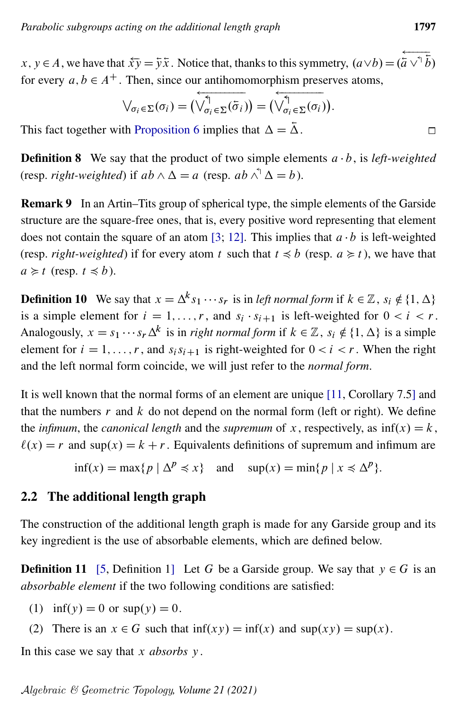$x, y \in A$ , we have that  $\overline{\hat{x}y} = \overline{\hat{y}\hat{x}}$ . Notice that, thanks to this symmetry,  $(a \vee b) = (\overline{\hat{a} \vee^{\hat{b}} \hat{b}})$ for every  $a, b \in A^+$ . Then, since our antihomomorphism preserves atoms,

$$
\bigvee_{\sigma_i \in \Sigma} (\sigma_i) = \bigvee_{\sigma_i \in \Sigma} (\overline{\sigma}_i) \bigwedge = \bigvee_{\sigma_i \in \Sigma} (\sigma_i) \bigvee.
$$

This fact together with [Proposition 6](#page-5-0) implies that  $\Delta = \overline{\Delta}$ .

**Definition 8** We say that the product of two simple elements  $a \cdot b$ , is *left-weighted* (resp. *right-weighted*) if  $ab \wedge \Delta = a$  (resp.  $ab \wedge^{\uparrow} \Delta = b$ ).

<span id="page-6-0"></span>Remark 9 In an Artin–Tits group of spherical type, the simple elements of the Garside structure are the square-free ones, that is, every positive word representing that element does not contain the square of an atom [\[3;](#page-24-6) [12\]](#page-24-7). This implies that  $a \cdot b$  is left-weighted (resp. *right-weighted*) if for every atom t such that  $t \le b$  (resp.  $a \ge t$ ), we have that  $a \geq t$  (resp.  $t \leq b$ ).

**Definition 10** We say that  $x = \Delta^k s_1 \cdots s_r$  is in *left normal form* if  $k \in \mathbb{Z}$ ,  $s_i \notin \{1, \Delta\}$ is a simple element for  $i = 1, ..., r$ , and  $s_i \cdot s_{i+1}$  is left-weighted for  $0 < i < r$ . Analogously,  $x = s_1 \cdots s_r \Delta^k$  is in *right normal form* if  $k \in \mathbb{Z}$ ,  $s_i \notin \{1, \Delta\}$  is a simple element for  $i = 1, ..., r$ , and  $s_i s_{i+1}$  is right-weighted for  $0 < i < r$ . When the right and the left normal form coincide, we will just refer to the *normal form*.

It is well known that the normal forms of an element are unique [\[11,](#page-24-5) Corollary 7.5] and that the numbers  $r$  and  $k$  do not depend on the normal form (left or right). We define the *infimum*, the *canonical length* and the *supremum* of x, respectively, as  $\inf(x) = k$ ,  $\ell(x) = r$  and sup $(x) = k + r$ . Equivalents definitions of supremum and infimum are

 $\inf(x) = \max\{p \mid \Delta^p \leq x\}$  and  $\sup(x) = \min\{p \mid x \leq \Delta^p\}.$ 

#### 2.2 The additional length graph

The construction of the additional length graph is made for any Garside group and its key ingredient is the use of absorbable elements, which are defined below.

**Definition 11** [\[5,](#page-24-2) Definition 1] Let G be a Garside group. We say that  $y \in G$  is an *absorbable element* if the two following conditions are satisfied:

- (1) inf(y) = 0 or  $\sup(y) = 0$ .
- (2) There is an  $x \in G$  such that  $\inf(xy) = \inf(x)$  and  $\sup(xy) = \sup(x)$ .

In this case we say that x *absorbs* y.

 $\Box$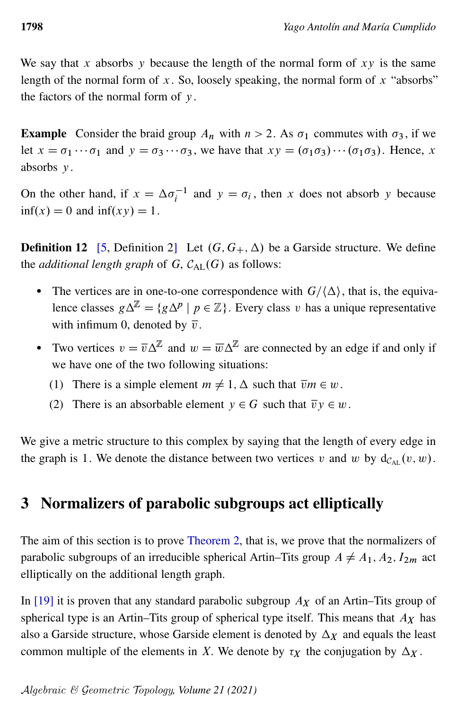We say that x absorbs y because the length of the normal form of  $xy$  is the same length of the normal form of x. So, loosely speaking, the normal form of x "absorbs" the factors of the normal form of  $y$ .

**Example** Consider the braid group  $A_n$  with  $n > 2$ . As  $\sigma_1$  commutes with  $\sigma_3$ , if we let  $x = \sigma_1 \cdots \sigma_1$  and  $y = \sigma_3 \cdots \sigma_3$ , we have that  $xy = (\sigma_1 \sigma_3) \cdots (\sigma_1 \sigma_3)$ . Hence, x absorbs y.

On the other hand, if  $x = \Delta \sigma_i^{-1}$  and  $y = \sigma_i$ , then x does not absorb y because  $\inf(x) = 0$  and  $\inf(xy) = 1$ .

**Definition 12** [\[5,](#page-24-2) Definition 2] Let  $(G, G_+, \Delta)$  be a Garside structure. We define the *additional length graph* of  $G$ ,  $C_{AL}(G)$  as follows:

- The vertices are in one-to-one correspondence with  $G/\langle \Delta \rangle$ , that is, the equivalence classes  $g\Delta^{\mathbb{Z}} = \{g\Delta^p \mid p \in \mathbb{Z}\}\$ . Every class v has a unique representative with infimum 0, denoted by  $\overline{v}$ .
- Two vertices  $v = \overline{v} \Delta^{\mathbb{Z}}$  and  $w = \overline{w} \Delta^{\mathbb{Z}}$  are connected by an edge if and only if we have one of the two following situations:
	- (1) There is a simple element  $m \neq 1$ ,  $\Delta$  such that  $\overline{v}m \in w$ .
	- (2) There is an absorbable element  $y \in G$  such that  $\overline{v}y \in w$ .

We give a metric structure to this complex by saying that the length of every edge in the graph is 1. We denote the distance between two vertices v and w by  $d_{\mathcal{C}_{\text{AT}}}(v, w)$ .

### 3 Normalizers of parabolic subgroups act elliptically

The aim of this section is to prove [Theorem 2,](#page-3-0) that is, we prove that the normalizers of parabolic subgroups of an irreducible spherical Artin–Tits group  $A \neq A_1, A_2, I_{2m}$  act elliptically on the additional length graph.

In [\[19\]](#page-25-2) it is proven that any standard parabolic subgroup  $A<sub>X</sub>$  of an Artin–Tits group of spherical type is an Artin–Tits group of spherical type itself. This means that  $A_X$  has also a Garside structure, whose Garside element is denoted by  $\Delta_X$  and equals the least common multiple of the elements in X. We denote by  $\tau_X$  the conjugation by  $\Delta_X$ .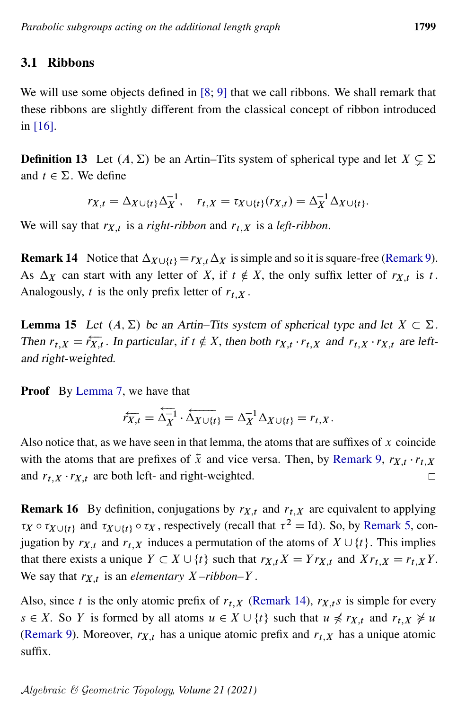### 3.1 Ribbons

We will use some objects defined in  $[8; 9]$  $[8; 9]$  $[8; 9]$  that we call ribbons. We shall remark that these ribbons are slightly different from the classical concept of ribbon introduced in [\[16\]](#page-25-3).

**Definition 13** Let  $(A, \Sigma)$  be an Artin–Tits system of spherical type and let  $X \subseteq \Sigma$ and  $t \in \Sigma$ . We define

$$
r_{X,t} = \Delta_{X \cup \{t\}} \Delta_X^{-1}, \quad r_{t,X} = \tau_{X \cup \{t\}}(r_{X,t}) = \Delta_X^{-1} \Delta_{X \cup \{t\}}.
$$

We will say that  $r_{X,t}$  is a *right-ribbon* and  $r_{t,X}$  is a *left-ribbon*.

<span id="page-8-0"></span>**Remark 14** Notice that  $\Delta_{X \cup \{t\}} = r_{X,t} \Delta_X$  is simple and so it is square-free [\(Remark 9\)](#page-6-0). As  $\Delta_X$  can start with any letter of X, if  $t \notin X$ , the only suffix letter of  $r_{X,t}$  is t. Analogously, t is the only prefix letter of  $r_{t,X}$ .

<span id="page-8-1"></span>**Lemma 15** Let  $(A, \Sigma)$  be an Artin–Tits system of spherical type and let  $X \subset \Sigma$ . Then  $r_{t,X} = \overleftarrow{r_{X,t}}$ . In particular, if  $t \notin X$ , then both  $r_{X,t} \cdot r_{t,X}$  and  $r_{t,X} \cdot r_{X,t}$  are leftand right-weighted.

**Proof** By [Lemma 7,](#page-5-1) we have that

$$
\overline{r}_{X,t} = \overleftarrow{\Delta_X^{-1}} \cdot \overleftarrow{\Delta_{X \cup \{t\}}} = \Delta_X^{-1} \Delta_{X \cup \{t\}} = r_{t,X}.
$$

Also notice that, as we have seen in that lemma, the atoms that are suffixes of  $x$  coincide with the atoms that are prefixes of  $\bar{x}$  and vice versa. Then, by [Remark 9,](#page-6-0)  $r_{X,t} \cdot r_{t,X}$ and  $r_{t,X} \cdot r_{X,t}$  are both left- and right-weighted.  $\Box$ 

<span id="page-8-2"></span>**Remark 16** By definition, conjugations by  $r_{X,t}$  and  $r_{t,X}$  are equivalent to applying  $\tau_X \circ \tau_{X \cup \{t\}}$  and  $\tau_{X \cup \{t\}} \circ \tau_X$ , respectively (recall that  $\tau^2 =$  Id). So, by [Remark 5,](#page-5-2) conjugation by  $r_{X,t}$  and  $r_{t,X}$  induces a permutation of the atoms of  $X \cup \{t\}$ . This implies that there exists a unique  $Y \subset X \cup \{t\}$  such that  $r_{X,t} X = Y r_{X,t}$  and  $X r_{t,X} = r_{t,X} Y$ . We say that  $r_{X,t}$  is an *elementary*  $X$ -ribbon–Y.

Also, since t is the only atomic prefix of  $r_{t,X}$  [\(Remark 14\)](#page-8-0),  $r_{X,t}s$  is simple for every  $s \in X$ . So Y is formed by all atoms  $u \in X \cup \{t\}$  such that  $u \not\preccurlyeq r_{X,t}$  and  $r_{t,X} \not\succeq u$ [\(Remark 9\)](#page-6-0). Moreover,  $r_{X,t}$  has a unique atomic prefix and  $r_{t,X}$  has a unique atomic suffix.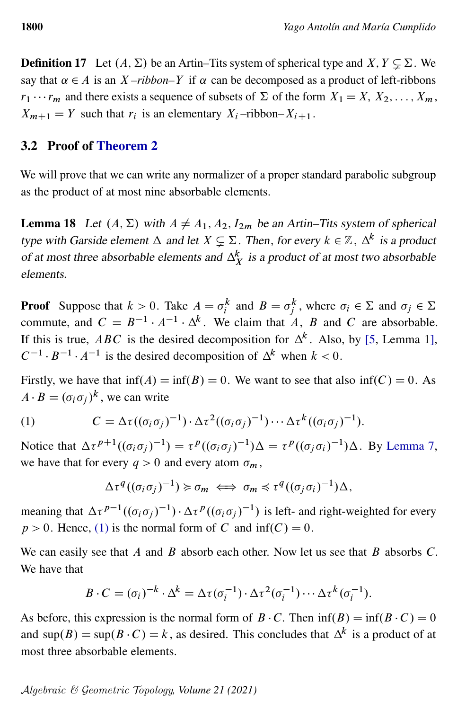**Definition 17** Let  $(A, \Sigma)$  be an Artin–Tits system of spherical type and  $X, Y \subseteq \Sigma$ . We say that  $\alpha \in A$  is an X-ribbon–Y if  $\alpha$  can be decomposed as a product of left-ribbons  $r_1 \cdots r_m$  and there exists a sequence of subsets of  $\Sigma$  of the form  $X_1 = X, X_2, \ldots, X_m$ ,  $X_{m+1} = Y$  such that  $r_i$  is an elementary  $X_i$ -ribbon– $X_{i+1}$ .

#### 3.2 Proof of [Theorem 2](#page-3-0)

We will prove that we can write any normalizer of a proper standard parabolic subgroup as the product of at most nine absorbable elements.

<span id="page-9-1"></span>**Lemma 18** Let  $(A, \Sigma)$  with  $A \neq A_1, A_2, I_{2m}$  be an Artin–Tits system of spherical type with Garside element  $\Delta$  and let  $X \subsetneq \Sigma$ . Then, for every  $k \in \mathbb{Z}$ ,  $\Delta^k$  is a product of at most three absorbable elements and  $\Delta_X^k$  is a product of at most two absorbable elements.

**Proof** Suppose that  $k > 0$ . Take  $A = \sigma_i^k$  and  $B = \sigma_j^k$ , where  $\sigma_i \in \Sigma$  and  $\sigma_j \in \Sigma$ commute, and  $C = B^{-1} \cdot A^{-1} \cdot \Delta^k$ . We claim that A, B and C are absorbable. If this is true, ABC is the desired decomposition for  $\Delta^k$ . Also, by [\[5,](#page-24-2) Lemma 1],  $C^{-1} \cdot B^{-1} \cdot A^{-1}$  is the desired decomposition of  $\Delta^k$  when  $k < 0$ .

Firstly, we have that  $\inf(A) = \inf(B) = 0$ . We want to see that also  $\inf(C) = 0$ . As  $A \cdot B = (\sigma_i \sigma_j)^k$ , we can write

(1) 
$$
C = \Delta \tau ((\sigma_i \sigma_j)^{-1}) \cdot \Delta \tau^2 ((\sigma_i \sigma_j)^{-1}) \cdots \Delta \tau^k ((\sigma_i \sigma_j)^{-1}).
$$

Notice that  $\Delta \tau^{p+1}((\sigma_i \sigma_j)^{-1}) = \tau^p((\sigma_i \sigma_j)^{-1})\Delta = \tau^p((\sigma_j \sigma_i)^{-1})\Delta$ . By [Lemma 7,](#page-5-1) we have that for every  $q > 0$  and every atom  $\sigma_m$ ,

<span id="page-9-0"></span>
$$
\Delta \tau^q((\sigma_i \sigma_j)^{-1}) \succcurlyeq \sigma_m \iff \sigma_m \preccurlyeq \tau^q((\sigma_j \sigma_i)^{-1}) \Delta,
$$

meaning that  $\Delta \tau^{p-1}((\sigma_i \sigma_j)^{-1}) \cdot \Delta \tau^p((\sigma_i \sigma_j)^{-1})$  is left- and right-weighted for every  $p > 0$ . Hence, [\(1\)](#page-9-0) is the normal form of C and inf(C) = 0.

We can easily see that A and B absorb each other. Now let us see that B absorbs  $C$ . We have that

$$
B \cdot C = (\sigma_i)^{-k} \cdot \Delta^k = \Delta \tau (\sigma_i^{-1}) \cdot \Delta \tau^2 (\sigma_i^{-1}) \cdots \Delta \tau^k (\sigma_i^{-1}).
$$

As before, this expression is the normal form of  $B \cdot C$ . Then  $\inf(B) = \inf(B \cdot C) = 0$ and sup $(B)$  = sup $(B \cdot C) = k$ , as desired. This concludes that  $\Delta^k$  is a product of at most three absorbable elements.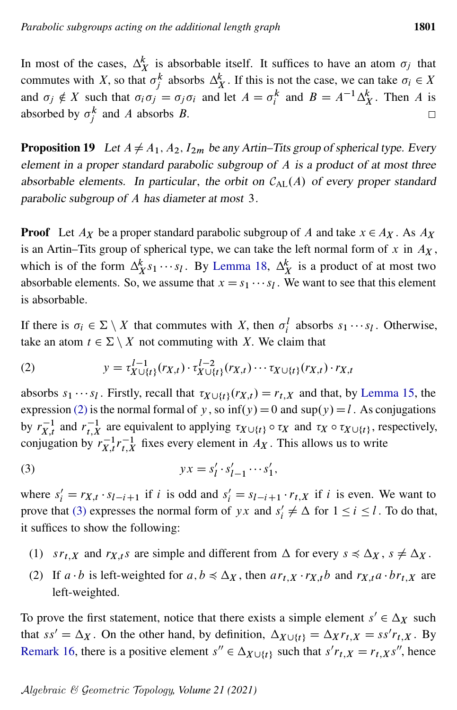In most of the cases,  $\Delta_X^k$  is absorbable itself. It suffices to have an atom  $\sigma_j$  that commutes with X, so that  $\sigma_j^k$  absorbs  $\Delta_X^k$ . If this is not the case, we can take  $\sigma_i \in X$ and  $\sigma_j \notin X$  such that  $\sigma_i \sigma_j = \sigma_j \sigma_i$  and let  $A = \sigma_i^k$  and  $B = A^{-1} \Delta_X^k$ . Then A is absorbed by  $\sigma_j^k$  and A absorbs B.  $\Box$ 

<span id="page-10-2"></span>**Proposition 19** Let  $A \neq A_1, A_2, I_{2m}$  be any Artin–Tits group of spherical type. Every element in a proper standard parabolic subgroup of A is a product of at most three absorbable elements. In particular, the orbit on  $C_{\text{AL}}(A)$  of every proper standard parabolic subgroup of A has diameter at most 3.

**Proof** Let  $A_X$  be a proper standard parabolic subgroup of A and take  $x \in A_X$ . As  $A_X$ is an Artin–Tits group of spherical type, we can take the left normal form of x in  $A_X$ , which is of the form  $\Delta_{X}^{k} s_{1} \cdots s_{l}$ . By [Lemma 18,](#page-9-1)  $\Delta_{X}^{k}$  is a product of at most two absorbable elements. So, we assume that  $x = s_1 \cdots s_l$ . We want to see that this element is absorbable.

<span id="page-10-0"></span>If there is  $\sigma_i \in \Sigma \setminus X$  that commutes with X, then  $\sigma_i^l$  absorbs  $s_1 \cdots s_l$ . Otherwise, take an atom  $t \in \Sigma \setminus X$  not commuting with X. We claim that

(2) 
$$
y = \tau_{X \cup \{t\}}^{l-1} (r_{X,t}) \cdot \tau_{X \cup \{t\}}^{l-2} (r_{X,t}) \cdots \tau_{X \cup \{t\}} (r_{X,t}) \cdot r_{X,t}
$$

absorbs  $s_1 \cdots s_l$ . Firstly, recall that  $\tau_{X \cup \{t\}}(r_{X,t}) = r_{t,X}$  and that, by [Lemma 15,](#page-8-1) the expression [\(2\)](#page-10-0) is the normal formal of y, so  $\inf(y) = 0$  and  $\sup(y) = l$ . As conjugations by  $r_{X,t}^{-1}$  and  $r_{t,X}^{-1}$  are equivalent to applying  $\tau_{X\cup\{t\}} \circ \tau_X$  and  $\tau_X \circ \tau_{X\cup\{t\}}$ , respectively, conjugation by  $r_{X,t}^{-1}r_{t,X}^{-1}$  fixes every element in  $A_X$ . This allows us to write

<span id="page-10-1"></span>(3) 
$$
yx = s'_l \cdot s'_{l-1} \cdots s'_1,
$$

where  $s'_i = r_{X,t} \cdot s_{i-i+1}$  if i is odd and  $s'_i = s_{i-i+1} \cdot r_{t,X}$  if i is even. We want to prove that [\(3\)](#page-10-1) expresses the normal form of yx and  $s'_i \neq \Delta$  for  $1 \leq i \leq l$ . To do that, it suffices to show the following:

- (1)  $sr_{t,X}$  and  $r_{X,t} s$  are simple and different from  $\Delta$  for every  $s \leq \Delta_X$ ,  $s \neq \Delta_X$ .
- (2) If  $a \cdot b$  is left-weighted for  $a, b \leq \Delta_X$ , then  $ar_{t,X} \cdot r_{X,t}b$  and  $r_{X,t}a \cdot br_{t,X}$  are left-weighted.

To prove the first statement, notice that there exists a simple element  $s' \in \Delta_X$  such that  $ss' = \Delta_X$ . On the other hand, by definition,  $\Delta_{X \cup \{t\}} = \Delta_X r_{t,X} = ss' r_{t,X}$ . By [Remark 16,](#page-8-2) there is a positive element  $s'' \in \Delta_{X \cup \{t\}}$  such that  $s' r_{t,X} = r_{t,X} s''$ , hence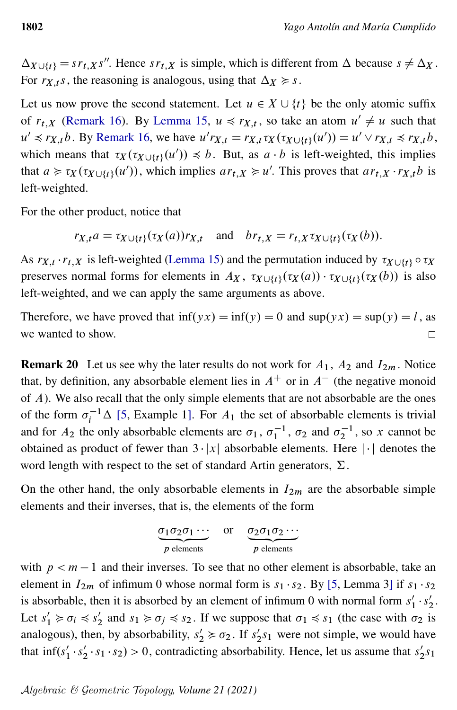$\Delta_{X \cup \{t\}} = s r_{t,X} s''$ . Hence  $s r_{t,X}$  is simple, which is different from  $\Delta$  because  $s \neq \Delta_X$ . For  $r_{X,t}$ s, the reasoning is analogous, using that  $\Delta x \geq s$ .

Let us now prove the second statement. Let  $u \in X \cup \{t\}$  be the only atomic suffix of  $r_{t,X}$  [\(Remark 16\)](#page-8-2). By [Lemma 15,](#page-8-1)  $u \preccurlyeq r_{X,t}$ , so take an atom  $u' \neq u$  such that  $u' \preccurlyeq r_{X,t} b$ . By [Remark 16,](#page-8-2) we have  $u' r_{X,t} = r_{X,t} \tau_X(\tau_X \cup \{t\}}(u')) = u' \vee r_{X,t} \preccurlyeq r_{X,t} b$ , which means that  $\tau_X(\tau_{X \cup \{t\}}(u')) \preccurlyeq b$ . But, as  $a \cdot b$  is left-weighted, this implies that  $a \ge \tau_X(\tau_{X \cup \{t\}}(u'))$ , which implies  $ar_{t,X} \ge u'$ . This proves that  $ar_{t,X} \cdot r_{X,t}b$  is left-weighted.

For the other product, notice that

$$
r_{X,t}a = \tau_{X \cup \{t\}}(\tau_X(a))r_{X,t} \quad \text{and} \quad br_{t,X} = r_{t,X} \tau_{X \cup \{t\}}(\tau_X(b)).
$$

As  $r_{X,t} \cdot r_{t,X}$  is left-weighted [\(Lemma 15\)](#page-8-1) and the permutation induced by  $\tau_{X \cup \{t\}} \circ \tau_X$ preserves normal forms for elements in  $A_X$ ,  $\tau_{X \cup \{t\}}(\tau_X(a)) \cdot \tau_{X \cup \{t\}}(\tau_X(b))$  is also left-weighted, and we can apply the same arguments as above.

Therefore, we have proved that  $\inf(yx) = \inf(y) = 0$  and  $\sup(yx) = \sup(y) = l$ , as we wanted to show.  $\Box$ 

**Remark 20** Let us see why the later results do not work for  $A_1$ ,  $A_2$  and  $I_{2m}$ . Notice that, by definition, any absorbable element lies in  $A^+$  or in  $A^-$  (the negative monoid of A). We also recall that the only simple elements that are not absorbable are the ones of the form  $\sigma_i^{-1}\Delta$  [\[5,](#page-24-2) Example 1]. For  $A_1$  the set of absorbable elements is trivial and for  $A_2$  the only absorbable elements are  $\sigma_1$ ,  $\sigma_1^{-1}$ ,  $\sigma_2$  and  $\sigma_2^{-1}$ , so x cannot be obtained as product of fewer than  $3 \cdot |x|$  absorbable elements. Here  $|\cdot|$  denotes the word length with respect to the set of standard Artin generators,  $\Sigma$ .

On the other hand, the only absorbable elements in  $I_{2m}$  are the absorbable simple elements and their inverses, that is, the elements of the form

$$
\underbrace{\sigma_1 \sigma_2 \sigma_1 \cdots}_{p \text{ elements}} \quad \text{or} \quad \underbrace{\sigma_2 \sigma_1 \sigma_2 \cdots}_{p \text{ elements}}
$$

with  $p < m - 1$  and their inverses. To see that no other element is absorbable, take an element in  $I_{2m}$  of infimum 0 whose normal form is  $s_1 \cdot s_2$ . By [\[5,](#page-24-2) Lemma 3] if  $s_1 \cdot s_2$ is absorbable, then it is absorbed by an element of infimum 0 with normal form  $s_1$ <sup>'</sup>  $\frac{1}{1} \cdot s_2'$  $\frac{7}{2}$ . Let  $s'_1 \geq \sigma_i \leq s'_2$  $z'_2$  and  $s_1 \ge \sigma_j \le s_2$ . If we suppose that  $\sigma_1 \le s_1$  (the case with  $\sigma_2$  is analogous), then, by absorbability,  $s'_2 \geq \sigma_2$ . If  $s'_2$  $2s_1$  were not simple, we would have that  $\inf(s'_1 \cdot s'_2)$  $2 \cdot s_1 \cdot s_2$ ) > 0, contradicting absorbability. Hence, let us assume that  $s_2$  $2^{s_1}$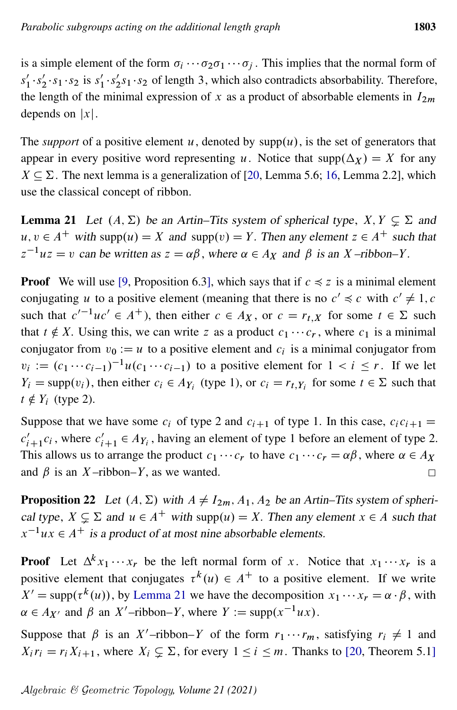is a simple element of the form  $\sigma_i \cdots \sigma_2 \sigma_1 \cdots \sigma_j$ . This implies that the normal form of  $s'_1$  $\frac{7}{1} \cdot s_2'$  $\frac{1}{2} \cdot s_1 \cdot s_2$  is  $s'_1$  $\frac{1}{1} \cdot s_2'$  $2s_1 \cdot s_2$  of length 3, which also contradicts absorbability. Therefore, the length of the minimal expression of x as a product of absorbable elements in  $I_{2m}$ depends on  $|x|$ .

The *support* of a positive element u, denoted by  $supp(u)$ , is the set of generators that appear in every positive word representing u. Notice that  $\text{supp}(\Delta_X) = X$  for any  $X \subseteq \Sigma$ . The next lemma is a generalization of [\[20,](#page-25-4) Lemma 5.6; [16,](#page-25-3) Lemma 2.2], which use the classical concept of ribbon.

<span id="page-12-0"></span>**Lemma 21** Let  $(A, \Sigma)$  be an Artin–Tits system of spherical type,  $X, Y \subseteq \Sigma$  and  $u, v \in A^+$  with supp $(u) = X$  and supp $(v) = Y$ . Then any element  $z \in A^+$  such that  $z^{-1}uz = v$  can be written as  $z = \alpha \beta$ , where  $\alpha \in A_X$  and  $\beta$  is an X-ribbon–Y.

**Proof** We will use [\[9,](#page-24-3) Proposition 6.3], which says that if  $c \le z$  is a minimal element conjugating u to a positive element (meaning that there is no  $c' \preccurlyeq c$  with  $c' \neq 1, c$ such that  $c'^{-1}uc' \in A^+$ ), then either  $c \in A_X$ , or  $c = r_{t,X}$  for some  $t \in \Sigma$  such that  $t \notin X$ . Using this, we can write z as a product  $c_1 \cdots c_r$ , where  $c_1$  is a minimal conjugator from  $v_0 := u$  to a positive element and  $c_i$  is a minimal conjugator from  $v_i := (c_1 \cdots c_{i-1})^{-1} u(c_1 \cdots c_{i-1})$  to a positive element for  $1 < i \leq r$ . If we let  $Y_i = \text{supp}(v_i)$ , then either  $c_i \in A_{Y_i}$  (type 1), or  $c_i = r_{t,Y_i}$  for some  $t \in \Sigma$  such that  $t \notin Y_i$  (type 2).

Suppose that we have some  $c_i$  of type 2 and  $c_{i+1}$  of type 1. In this case,  $c_i c_{i+1}$  =  $c'_{i+1}c_i$ , where  $c'_{i+1} \in A_{Y_i}$ , having an element of type 1 before an element of type 2. This allows us to arrange the product  $c_1 \cdots c_r$  to have  $c_1 \cdots c_r = \alpha \beta$ , where  $\alpha \in A_X$ and  $\beta$  is an X-ribbon–Y, as we wanted.  $\Box$ 

<span id="page-12-1"></span>**Proposition 22** Let  $(A, \Sigma)$  with  $A \neq I_{2m}$ ,  $A_1$ ,  $A_2$  be an Artin–Tits system of spherical type,  $X \subsetneq \Sigma$  and  $u \in A^+$  with supp $(u) = X$ . Then any element  $x \in A$  such that  $x^{-1}ux \in A^+$  is a product of at most nine absorbable elements.

**Proof** Let  $\Delta^k x_1 \cdots x_r$  be the left normal form of x. Notice that  $x_1 \cdots x_r$  is a positive element that conjugates  $\tau^k(u) \in A^+$  to a positive element. If we write  $X' = \text{supp}(\tau^k(u))$ , by [Lemma 21](#page-12-0) we have the decomposition  $x_1 \cdots x_r = \alpha \cdot \beta$ , with  $\alpha \in A_{X'}$  and  $\beta$  an X'-ribbon–Y, where  $Y := \text{supp}(x^{-1}ux)$ .

Suppose that  $\beta$  is an X'-ribbon–Y of the form  $r_1 \cdots r_m$ , satisfying  $r_i \neq 1$  and  $X_i r_i = r_i X_{i+1}$ , where  $X_i \subsetneq \Sigma$ , for every  $1 \leq i \leq m$ . Thanks to [\[20,](#page-25-4) Theorem 5.1]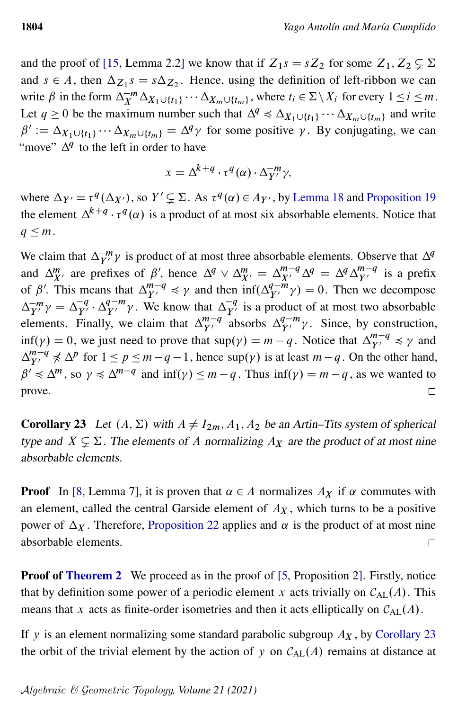and the proof of [\[15,](#page-25-5) Lemma 2.2] we know that if  $Z_1s = sZ_2$  for some  $Z_1, Z_2 \subsetneq \Sigma$ and  $s \in A$ , then  $\Delta z_1 s = s \Delta z_2$ . Hence, using the definition of left-ribbon we can write  $\beta$  in the form  $\Delta_X^{-m} \Delta_{X_1 \cup \{t_1\}} \cdots \Delta_{X_m \cup \{t_m\}}$ , where  $t_i \in \Sigma \setminus X_i$  for every  $1 \le i \le m$ . Let  $q \ge 0$  be the maximum number such that  $\Delta^q \preccurlyeq \Delta_{X_1 \cup \{t_1\}} \cdots \Delta_{X_m \cup \{t_m\}}$  and write  $\beta' := \Delta_{X_1 \cup \{t_1\}} \cdots \Delta_{X_m \cup \{t_m\}} = \Delta^q \gamma$  for some positive  $\gamma$ . By conjugating, we can "move"  $\Delta^q$  to the left in order to have

$$
x = \Delta^{k+q} \cdot \tau^q(\alpha) \cdot \Delta_{Y'}^{-m} \gamma,
$$

where  $\Delta_{Y'} = \tau^q(\Delta_{X'})$ , so  $Y' \subsetneq \Sigma$ . As  $\tau^q(\alpha) \in A_{Y'}$ , by [Lemma 18](#page-9-1) and [Proposition 19](#page-10-2) the element  $\Delta^{k+q} \cdot \tau^q(\alpha)$  is a product of at most six absorbable elements. Notice that  $q \leq m$ .

We claim that  $\Delta_{Y'}^{-m} \gamma$  is product of at most three absorbable elements. Observe that  $\Delta^q$ and  $\Delta_{X'}^m$  are prefixes of  $\beta'$ , hence  $\Delta^q \vee \Delta_{X'}^m = \Delta_{X'}^{m-q} \Delta^q = \Delta^q \Delta_{Y'}^{m-q}$  is a prefix of  $\beta'$ . This means that  $\Delta_{Y'}^{m-q} \preccurlyeq \gamma$  and then  $\int_{0}^{\alpha} \Delta_{Y'}^{q-m} \gamma$  = 0. Then we decompose  $\Delta_{Y'}^{-m} \gamma = \Delta_{Y'}^{-q}$  $\frac{q}{Y'} \cdot \Delta_{Y'}^{q-m} \gamma$ . We know that  $\Delta_{Y'}^{-q}$  is a product of at most two absorbable elements. Finally, we claim that  $\Delta_{Y'}^{m-q}$  absorbs  $\Delta_{Y'}^{q-m}\gamma$ . Since, by construction,  $\inf(\gamma) = 0$ , we just need to prove that  $\sup(\gamma) = m - q$ . Notice that  $\Delta_{Y'}^{m-q} \preccurlyeq \gamma$  and  $\Delta_{Y'}^{m-q} \nless \Delta^p$  for  $1 \le p \le m-q-1$ , hence sup $(\gamma)$  is at least  $m-q$ . On the other hand,  $\beta' \preccurlyeq \Delta^m$ , so  $\gamma \preccurlyeq \Delta^{m-q}$  and  $\inf(\gamma) \leq m-q$ . Thus  $\inf(\gamma) = m-q$ , as we wanted to prove.  $\Box$ 

<span id="page-13-0"></span>**Corollary 23** Let  $(A, \Sigma)$  with  $A \neq I_{2m}$ ,  $A_1$ ,  $A_2$  be an Artin–Tits system of spherical type and  $X \subsetneq \Sigma$ . The elements of A normalizing  $A_X$  are the product of at most nine absorbable elements.

**Proof** In [\[8,](#page-24-8) Lemma 7], it is proven that  $\alpha \in A$  normalizes  $A_X$  if  $\alpha$  commutes with an element, called the central Garside element of  $A_X$ , which turns to be a positive power of  $\Delta_X$ . Therefore, [Proposition 22](#page-12-1) applies and  $\alpha$  is the product of at most nine absorbable elements.  $\Box$ 

**Proof of [Theorem 2](#page-3-0)** We proceed as in the proof of [\[5,](#page-24-2) Proposition 2]. Firstly, notice that by definition some power of a periodic element x acts trivially on  $C_{AL}(A)$ . This means that x acts as finite-order isometries and then it acts elliptically on  $C_{AL}(A)$ .

If y is an element normalizing some standard parabolic subgroup  $A_X$ , by [Corollary 23](#page-13-0) the orbit of the trivial element by the action of y on  $C_{AL}(A)$  remains at distance at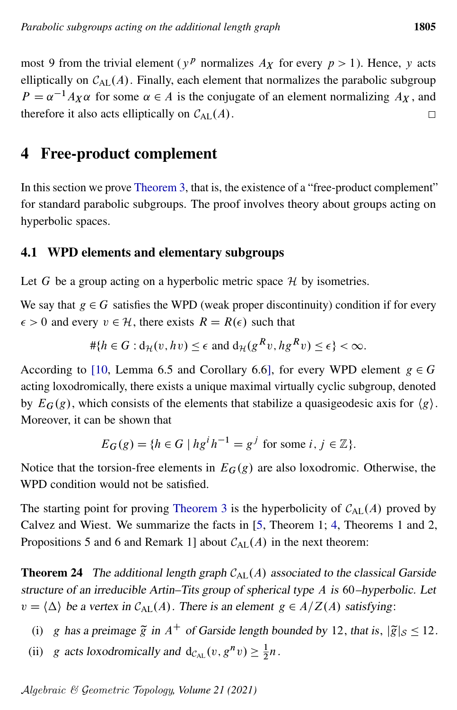most 9 from the trivial element ( $y^p$  normalizes  $A_X$  for every  $p > 1$ ). Hence, y acts elliptically on  $C_{AL}(A)$ . Finally, each element that normalizes the parabolic subgroup  $P = \alpha^{-1} A_X \alpha$  for some  $\alpha \in A$  is the conjugate of an element normalizing  $A_X$ , and therefore it also acts elliptically on  $C_{AL}(A)$ .  $\Box$ 

### 4 Free-product complement

In this section we prove [Theorem 3,](#page-3-1) that is, the existence of a "free-product complement" for standard parabolic subgroups. The proof involves theory about groups acting on hyperbolic spaces.

### 4.1 WPD elements and elementary subgroups

Let G be a group acting on a hyperbolic metric space  $H$  by isometries.

We say that  $g \in G$  satisfies the WPD (weak proper discontinuity) condition if for every  $\epsilon > 0$  and every  $v \in \mathcal{H}$ , there exists  $R = R(\epsilon)$  such that

$$
\#\{h \in G : d_{\mathcal{H}}(v, hv) \le \epsilon \text{ and } d_{\mathcal{H}}(g^R v, hg^R v) \le \epsilon\} < \infty.
$$

According to [\[10,](#page-24-9) Lemma 6.5 and Corollary 6.6], for every WPD element  $g \in G$ acting loxodromically, there exists a unique maximal virtually cyclic subgroup, denoted by  $E_G(g)$ , which consists of the elements that stabilize a quasigeodesic axis for  $\langle g \rangle$ . Moreover, it can be shown that

$$
E_G(g) = \{ h \in G \mid hg^i h^{-1} = g^j \text{ for some } i, j \in \mathbb{Z} \}.
$$

Notice that the torsion-free elements in  $E_G(g)$  are also loxodromic. Otherwise, the WPD condition would not be satisfied.

The starting point for proving [Theorem 3](#page-3-1) is the hyperbolicity of  $C_{AL}(A)$  proved by Calvez and Wiest. We summarize the facts in [\[5,](#page-24-2) Theorem 1; [4,](#page-24-10) Theorems 1 and 2, Propositions 5 and 6 and Remark 1] about  $C_{AL}(A)$  in the next theorem:

<span id="page-14-0"></span>**Theorem 24** The additional length graph  $C_{AL}(A)$  associated to the classical Garside structure of an irreducible Artin–Tits group of spherical type A is 60–hyperbolic. Let  $v = \langle \Delta \rangle$  be a vertex in  $C_{AL}(A)$ . There is an element  $g \in A/Z(A)$  satisfying:

- (i) g has a preimage  $\tilde{g}$  in  $A^+$  of Garside length bounded by 12, that is,  $|\tilde{g}|_S \le 12$ .
- (ii) g acts loxodromically and  $d_{\mathcal{C}_{AL}}(v, g^n v) \geq \frac{1}{2}$  $rac{1}{2}n$ .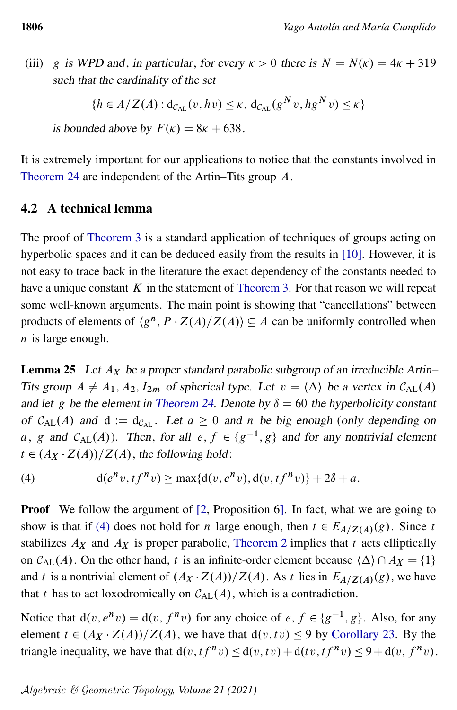(iii) g is WPD and, in particular, for every  $\kappa > 0$  there is  $N = N(\kappa) = 4\kappa + 319$ such that the cardinality of the set

$$
\{h \in A/Z(A) : \mathrm{d}_{\mathcal{C}_{\mathrm{AL}}}(v, hv) \leq \kappa, \, \mathrm{d}_{\mathcal{C}_{\mathrm{AL}}}(g^N v, hg^N v) \leq \kappa\}
$$

is bounded above by  $F(\kappa) = 8\kappa + 638$ .

It is extremely important for our applications to notice that the constants involved in [Theorem 24](#page-14-0) are independent of the Artin–Tits group A.

#### 4.2 A technical lemma

The proof of [Theorem 3](#page-3-1) is a standard application of techniques of groups acting on hyperbolic spaces and it can be deduced easily from the results in [\[10\]](#page-24-9). However, it is not easy to trace back in the literature the exact dependency of the constants needed to have a unique constant  $K$  in the statement of [Theorem 3.](#page-3-1) For that reason we will repeat some well-known arguments. The main point is showing that "cancellations" between products of elements of  $\langle g^n, P \cdot Z(A)/Z(A) \rangle \subseteq A$  can be uniformly controlled when  $n$  is large enough.

**Lemma 25** Let  $A_X$  be a proper standard parabolic subgroup of an irreducible Artin– Tits group  $A \neq A_1, A_2, I_{2m}$  of spherical type. Let  $v = \langle \Delta \rangle$  be a vertex in  $C_{AL}(A)$ . and let g be the element in [Theorem 24.](#page-14-0) Denote by  $\delta = 60$  the hyperbolicity constant of  $C_{AL}(A)$  and  $d := d_{C_{AL}}$ . Let  $a \ge 0$  and n be big enough (only depending on a, g and  $C_{AL}(A)$ ). Then, for all  $e, f \in \{g^{-1}, g\}$  and for any nontrivial element  $t \in (A_X \cdot Z(A))/Z(A)$ , the following hold:

<span id="page-15-0"></span>(4) 
$$
d(e^n v, t f^n v) \ge \max\{d(v, e^n v), d(v, t f^n v)\} + 2\delta + a.
$$

**Proof** We follow the argument of [\[2,](#page-24-11) Proposition 6]. In fact, what we are going to show is that if [\(4\)](#page-15-0) does not hold for *n* large enough, then  $t \in E_{A/Z(A)}(g)$ . Since t stabilizes  $A_X$  and  $A_X$  is proper parabolic, [Theorem 2](#page-3-0) implies that t acts elliptically on  $C_{AL}(A)$ . On the other hand, t is an infinite-order element because  $\{\Delta\} \cap A_X = \{1\}$ and t is a nontrivial element of  $(A_X \cdot Z(A))/Z(A)$ . As t lies in  $E_{A/Z(A)}(g)$ , we have that t has to act loxodromically on  $C_{AL}(A)$ , which is a contradiction.

Notice that  $d(v, e^n v) = d(v, f^n v)$  for any choice of  $e, f \in \{g^{-1}, g\}$ . Also, for any element  $t \in (A_X \cdot Z(A))/Z(A)$ , we have that  $d(v, tv) \le 9$  by [Corollary 23.](#page-13-0) By the triangle inequality, we have that  $d(v, tf^n v) \leq d(v, tv) + d(tv, tf^n v) \leq 9 + d(v, f^n v)$ .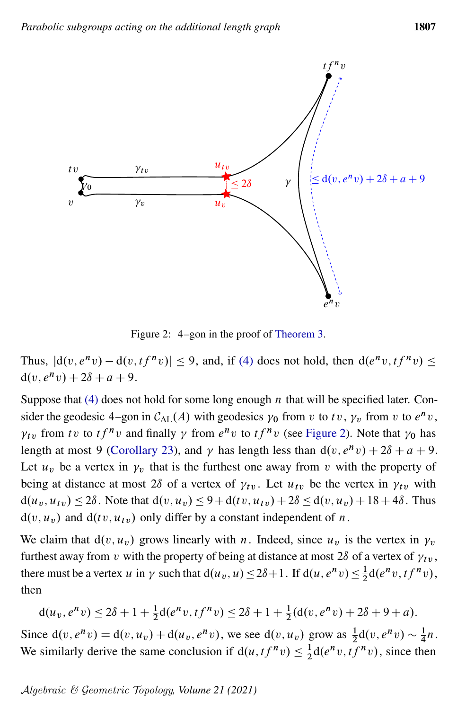<span id="page-16-0"></span>

Figure 2: 4–gon in the proof of [Theorem 3.](#page-3-1)

Thus,  $|d(v, e^nv) - d(v, tf^nv)| \le 9$ , and, if [\(4\)](#page-15-0) does not hold, then  $d(e^nv, tf^nv) \le$  $d(v, e^n v) + 2\delta + a + 9.$ 

Suppose that  $(4)$  does not hold for some long enough *n* that will be specified later. Consider the geodesic 4–gon in  $C_{AL}(A)$  with geodesics  $\gamma_0$  from v to tv,  $\gamma_v$  from v to  $e^nv$ ,  $\gamma_{tv}$  from tv to t $f^n v$  and finally  $\gamma$  from  $e^n v$  to  $tf^n v$  (see [Figure 2\)](#page-16-0). Note that  $\gamma_0$  has length at most 9 [\(Corollary 23\)](#page-13-0), and  $\gamma$  has length less than  $d(v, e^n v) + 2\delta + a + 9$ . Let  $u<sub>v</sub>$  be a vertex in  $\gamma<sub>v</sub>$  that is the furthest one away from v with the property of being at distance at most 28 of a vertex of  $\gamma_{tv}$ . Let  $u_{tv}$  be the vertex in  $\gamma_{tv}$  with  $d(u_v, u_{tv}) \leq 2\delta$ . Note that  $d(v, u_v) \leq 9 + d(tv, u_{tv}) + 2\delta \leq d(v, u_v) + 18 + 4\delta$ . Thus  $d(v, u_v)$  and  $d(tv, u_{tv})$  only differ by a constant independent of n.

We claim that  $d(v, u_v)$  grows linearly with n. Indeed, since  $u_v$  is the vertex in  $\gamma_v$ furthest away from v with the property of being at distance at most 28 of a vertex of  $\gamma_{tv}$ , there must be a vertex u in  $\gamma$  such that  $d(u_v, u) \le 2\delta + 1$ . If  $d(u, e^n v) \le \frac{1}{2}$  $\frac{1}{2}d(e^n v, t f^n v),$ then

$$
d(u_v, e^n v) \le 2\delta + 1 + \frac{1}{2}d(e^n v, t f^n v) \le 2\delta + 1 + \frac{1}{2}(d(v, e^n v) + 2\delta + 9 + a).
$$

Since  $d(v, e^n v) = d(v, u_v) + d(u_v, e^n v)$ , we see  $d(v, u_v)$  grow as  $\frac{1}{2}d(v, e^n v) \sim \frac{1}{4}$  $\frac{1}{4}n$ . We similarly derive the same conclusion if  $d(u, tf^nv) \leq \frac{1}{2}$  $\frac{1}{2}d(e^n v, t f^n v)$ , since then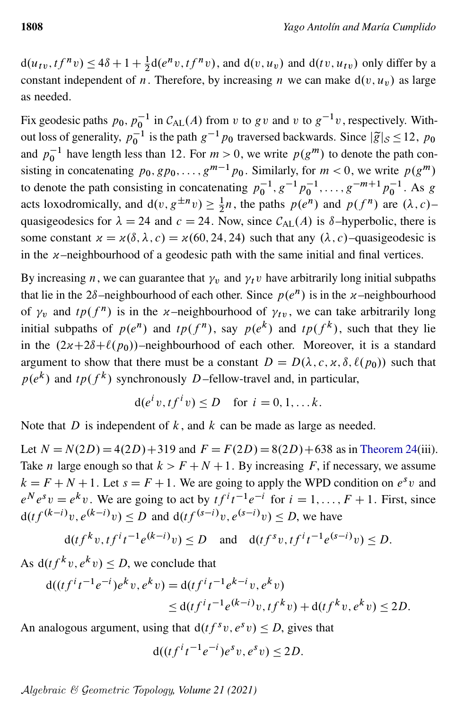$d(u_{tv}, tf^{n}v) \leq 4\delta + 1 + \frac{1}{2}d(e^{n}v, tf^{n}v)$ , and  $d(v, u_v)$  and  $d(tv, u_{tv})$  only differ by a constant independent of n. Therefore, by increasing n we can make  $d(v, u_v)$  as large as needed.

Fix geodesic paths  $p_0$ ,  $p_0^{-1}$  in  $C_{AL}(A)$  from v to g v and v to  $g^{-1}v$ , respectively. Without loss of generality,  $p_0^{-1}$  is the path  $g^{-1}p_0$  traversed backwards. Since  $|\tilde{g}|_{\mathcal{S}} \le 12$ ,  $p_0$ and  $p_0^{-1}$  have length less than 12. For  $m > 0$ , we write  $p(g^m)$  to denote the path consisting in concatenating  $p_0, gp_0, \ldots, g^{m-1}p_0$ . Similarly, for  $m < 0$ , we write  $p(g^m)$ to denote the path consisting in concatenating  $p_0^{-1}, g^{-1}p_0^{-1}, \ldots, g^{-m+1}p_0^{-1}$ . As g acts loxodromically, and  $d(v, g^{\pm n}v) \geq \frac{1}{2}$  $\frac{1}{2}n$ , the paths  $p(e^n)$  and  $p(f^n)$  are  $(\lambda, c)$ – quasigeodesics for  $\lambda = 24$  and  $c = 24$ . Now, since  $C_{AL}(A)$  is  $\delta$ –hyperbolic, there is some constant  $x = x(\delta, \lambda, c) = x(60, 24, 24)$  such that any  $(\lambda, c)$ –quasigeodesic is in the  $x$ –neighbourhood of a geodesic path with the same initial and final vertices.

By increasing *n*, we can guarantee that  $\gamma_v$  and  $\gamma_t v$  have arbitrarily long initial subpaths that lie in the  $2\delta$ -neighbourhood of each other. Since  $p(e^n)$  is in the  $x$ -neighbourhood of  $\gamma_v$  and  $tp(f^n)$  is in the x-neighbourhood of  $\gamma_{tv}$ , we can take arbitrarily long initial subpaths of  $p(e^n)$  and  $tp(f^n)$ , say  $p(e^k)$  and  $tp(f^k)$ , such that they lie in the  $(2x+2\delta+\ell(p_0))$ –neighbourhood of each other. Moreover, it is a standard argument to show that there must be a constant  $D = D(\lambda, c, \chi, \delta, \ell(p_0))$  such that  $p(e^{k})$  and  $tp(f^{k})$  synchronously D-fellow-travel and, in particular,

$$
d(e^i v, t f^i v) \le D \quad \text{for } i = 0, 1, \dots k.
$$

Note that D is independent of  $k$ , and  $k$  can be made as large as needed.

Let  $N = N(2D) = 4(2D) + 319$  and  $F = F(2D) = 8(2D) + 638$  as in [Theorem 24\(](#page-14-0)iii). Take *n* large enough so that  $k > F + N + 1$ . By increasing *F*, if necessary, we assume  $k = F + N + 1$ . Let  $s = F + 1$ . We are going to apply the WPD condition on  $e^s v$  and  $e^N e^s v = e^k v$ . We are going to act by  $tf^i t^{-1} e^{-i}$  for  $i = 1, ..., F + 1$ . First, since  $d(t f^{(k-i)}v, e^{(k-i)}v) \le D$  and  $d(t f^{(s-i)}v, e^{(s-i)}v) \le D$ , we have

$$
d(tf^{k}v, tf^{i}t^{-1}e^{(k-i)}v) \le D
$$
 and  $d(tf^{s}v, tf^{i}t^{-1}e^{(s-i)}v) \le D$ .

As  $d(t f^k v, e^k v) \le D$ , we conclude that

$$
d((tf^{i}t^{-1}e^{-i})e^{k}v, e^{k}v) = d(tf^{i}t^{-1}e^{k-i}v, e^{k}v)
$$
  
 
$$
\leq d(tf^{i}t^{-1}e^{(k-i)}v, tf^{k}v) + d(tf^{k}v, e^{k}v) \leq 2D.
$$

An analogous argument, using that  $d(t f^s v, e^s v) \le D$ , gives that

$$
d((tfit-1e-i)esv, esv) \le 2D.
$$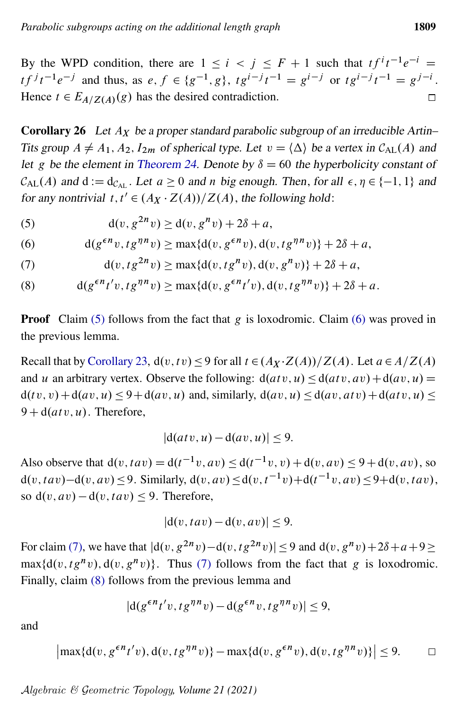By the WPD condition, there are  $1 \le i \le j \le F + 1$  such that  $tf^{i}t^{-1}e^{-i} =$  $tf^{j}t^{-1}e^{-j}$  and thus, as  $e, f \in \{g^{-1}, g\}$ ,  $tg^{i-j}t^{-1} = g^{i-j}$  or  $tg^{i-j}t^{-1} = g^{j-i}$ . Hence  $t \in E_{A/Z(A)}(g)$  has the desired contradiction.  $\Box$ 

<span id="page-18-4"></span>**Corollary 26** Let  $A_X$  be a proper standard parabolic subgroup of an irreducible Artin– Tits group  $A \neq A_1, A_2, I_{2m}$  of spherical type. Let  $v = \langle \Delta \rangle$  be a vertex in  $C_{\text{AL}}(A)$  and let g be the element in [Theorem 24.](#page-14-0) Denote by  $\delta = 60$  the hyperbolicity constant of  $C_{AL}(A)$  and  $d := d_{C_{AL}}$ . Let  $a \ge 0$  and n big enough. Then, for all  $\epsilon, \eta \in \{-1, 1\}$  and for any nontrivial  $t, t' \in (A_X \cdot Z(A))/Z(A)$ , the following hold:

<span id="page-18-0"></span>(5)  $d(v, g^{2n}v) \ge d(v, g^{n}v) + 2\delta + a$ ,

<span id="page-18-1"></span>(6) 
$$
d(g^{\epsilon n}v, t g^{\eta n}v) \ge \max\{d(v, g^{\epsilon n}v), d(v, t g^{\eta n}v)\} + 2\delta + a,
$$

<span id="page-18-2"></span>(7) 
$$
d(v, t g^{2n} v) \ge \max\{d(v, t g^{n} v), d(v, g^{n} v)\} + 2\delta + a,
$$

<span id="page-18-3"></span>(8)  $d(g^{\epsilon n}t'v, tg^{\eta n}v) \ge \max\{d(v, g^{\epsilon n}t'v), d(v, tg^{\eta n}v)\} + 2\delta + a.$ 

**Proof** Claim  $(5)$  follows from the fact that g is loxodromic. Claim  $(6)$  was proved in the previous lemma.

Recall that by [Corollary 23,](#page-13-0)  $d(v, tv) \le 9$  for all  $t \in (A_X \cdot Z(A))/Z(A)$ . Let  $a \in A/Z(A)$ . and u an arbitrary vertex. Observe the following:  $d(atv, u) < d(atv, av) + d(av, u) =$  $d(tv, v) + d(av, u) \leq 9 + d(av, u)$  and, similarly,  $d(av, u) \leq d(av, atv) + d(atv, u) \leq$  $9 + d(atv, u)$ . Therefore,

$$
|d(atv, u) - d(av, u)| \le 9.
$$

Also observe that  $d(v, tav) = d(t^{-1}v, av) \le d(t^{-1}v, v) + d(v, av) \le 9 + d(v, av)$ , so  $d(v, tav) - d(v, av) \le 9$ . Similarly,  $d(v, av) \le d(v, t^{-1}v) + d(t^{-1}v, av) \le 9 + d(v, tav)$ , so  $d(v, av) - d(v, tav) \leq 9$ . Therefore,

$$
|d(v, tav) - d(v, av)| \le 9.
$$

For claim [\(7\),](#page-18-2) we have that  $|d(v, g^{2n}v)-d(v, tg^{2n}v)| \leq 9$  and  $d(v, g^{n}v)+2\delta+a+9 \geq$  $\max\{d(v, tg^nv), d(v, g^nv)\}\$ . Thus [\(7\)](#page-18-2) follows from the fact that g is loxodromic. Finally, claim [\(8\)](#page-18-3) follows from the previous lemma and

$$
|d(g^{\epsilon n}t'v, t g^{\eta n}v) - d(g^{\epsilon n}v, t g^{\eta n}v)| \le 9,
$$

and

$$
\left|\max\{d(v, g^{\epsilon n}t'v), d(v, tg^{\eta n}v)\}-\max\{d(v, g^{\epsilon n}v), d(v, tg^{\eta n}v)\}\right| \le 9. \qquad \Box
$$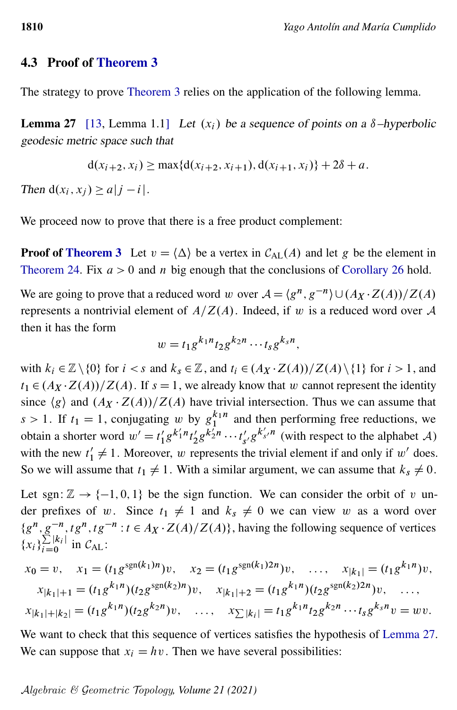#### 4.3 Proof of [Theorem 3](#page-3-1)

<span id="page-19-0"></span>The strategy to prove [Theorem 3](#page-3-1) relies on the application of the following lemma.

**Lemma 27** [\[13,](#page-25-6) Lemma 1.1] Let  $(x_i)$  be a sequence of points on a  $\delta$ -hyperbolic geodesic metric space such that

$$
d(x_{i+2}, x_i) \ge \max\{d(x_{i+2}, x_{i+1}), d(x_{i+1}, x_i)\} + 2\delta + a.
$$

Then  $d(x_i, x_j) \ge a |j - i|$ .

We proceed now to prove that there is a free product complement:

**Proof of [Theorem 3](#page-3-1)** Let  $v = \langle \Delta \rangle$  be a vertex in  $C_{AL}(A)$  and let g be the element in [Theorem 24.](#page-14-0) Fix  $a > 0$  and n big enough that the conclusions of [Corollary 26](#page-18-4) hold.

We are going to prove that a reduced word w over  $A = \langle g^n, g^{-n} \rangle \cup (A_X \cdot Z(A))/Z(A)$ represents a nontrivial element of  $A/Z(A)$ . Indeed, if w is a reduced word over A then it has the form

$$
w = t_1 g^{k_1 n} t_2 g^{k_2 n} \cdots t_s g^{k_s n},
$$

with  $k_i \in \mathbb{Z} \setminus \{0\}$  for  $i < s$  and  $k_s \in \mathbb{Z}$ , and  $t_i \in (A_X \cdot Z(A))/Z(A) \setminus \{1\}$  for  $i > 1$ , and  $t_1 \in (A_X \cdot Z(A))/Z(A)$ . If  $s = 1$ , we already know that w cannot represent the identity since  $\langle g \rangle$  and  $(A_X \cdot Z(A))/Z(A)$  have trivial intersection. Thus we can assume that  $s > 1$ . If  $t_1 = 1$ , conjugating w by  $g_1^{k_1 n}$  and then performing free reductions, we obtain a shorter word  $w' = t_1'$  $\int_{1}^{\prime} g^{k'_{1}n} t'_{2}$  $x_2'g^{k_2'n}\cdots t_s'$  $s'_{s'}g^{k'_{s'}n}$  (with respect to the alphabet A) with the new  $t'_1 \neq 1$ . Moreover, w represents the trivial element if and only if w' does. So we will assume that  $t_1 \neq 1$ . With a similar argument, we can assume that  $k_s \neq 0$ .

Let sgn:  $\mathbb{Z} \rightarrow \{-1, 0, 1\}$  be the sign function. We can consider the orbit of v under prefixes of w. Since  $t_1 \neq 1$  and  $k_s \neq 0$  we can view w as a word over  ${g^n, g^{-n}, tg^n, tg^{-n} : t \in A_X \cdot Z(A)/Z(A)}$ , having the following sequence of vertices  $\{x_i\}_{i=0}^{\sum |k_i|}$  $\sum_{i=0}^{\lfloor N_i \rfloor}$  in  $C_{AL}$ :

$$
x_0 = v, \quad x_1 = (t_1 g^{\text{sgn}(k_1)n})v, \quad x_2 = (t_1 g^{\text{sgn}(k_1)2n})v, \quad \dots, \quad x_{|k_1|} = (t_1 g^{k_1 n})v,
$$
  

$$
x_{|k_1|+1} = (t_1 g^{k_1 n})(t_2 g^{\text{sgn}(k_2)n})v, \quad x_{|k_1|+2} = (t_1 g^{k_1 n})(t_2 g^{\text{sgn}(k_2)2n})v, \quad \dots, \quad x_{|k_1|+|k_2|} = (t_1 g^{k_1 n})(t_2 g^{k_2 n})v, \quad \dots, \quad x_{\sum |k_i|} = t_1 g^{k_1 n} t_2 g^{k_2 n} \dots t_s g^{k_s n}v = wv.
$$

We want to check that this sequence of vertices satisfies the hypothesis of [Lemma 27.](#page-19-0) We can suppose that  $x_i = hv$ . Then we have several possibilities: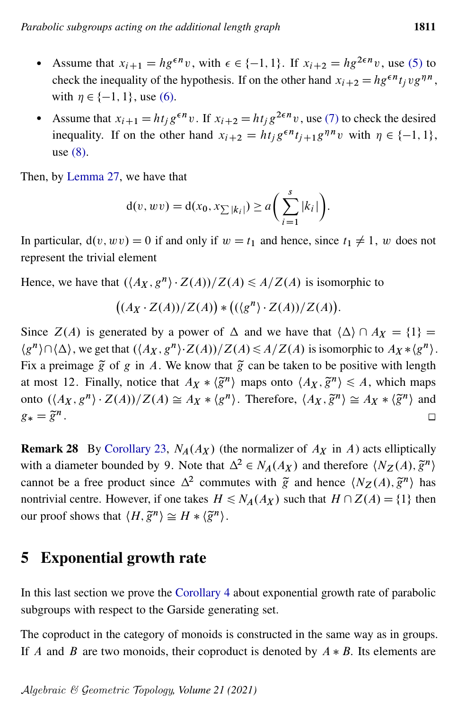- Assume that  $x_{i+1} = hg^{\epsilon n}v$ , with  $\epsilon \in \{-1, 1\}$ . If  $x_{i+2} = hg^{2\epsilon n}v$ , use [\(5\)](#page-18-0) to check the inequality of the hypothesis. If on the other hand  $x_{i+2} = h g^{\epsilon n} t_j v g^{\eta n}$ , with  $\eta \in \{-1, 1\}$ , use [\(6\).](#page-18-1)
- Assume that  $x_{i+1} = ht_j g^{\epsilon n} v$ . If  $x_{i+2} = ht_j g^{2\epsilon n} v$ , use [\(7\)](#page-18-2) to check the desired inequality. If on the other hand  $x_{i+2} = ht_j g^{\epsilon n} t_{j+1} g^{\eta n} v$  with  $\eta \in \{-1, 1\}$ , use [\(8\).](#page-18-3)

Then, by [Lemma 27,](#page-19-0) we have that

$$
d(v, wv) = d(x_0, x_{\sum |k_i|}) \ge a\left(\sum_{i=1}^{s} |k_i|\right).
$$

In particular,  $d(v, wv) = 0$  if and only if  $w = t_1$  and hence, since  $t_1 \neq 1$ , w does not represent the trivial element

Hence, we have that  $(\langle A_X, g^n \rangle \cdot Z(A))/Z(A) \leq A/Z(A)$  is isomorphic to

$$
((A_X \cdot Z(A))/Z(A)) * ((\langle g^n \rangle \cdot Z(A))/Z(A)).
$$

Since  $Z(A)$  is generated by a power of  $\Delta$  and we have that  $\langle \Delta \rangle \cap A_X = \{1\}$  $\langle g^n \rangle \cap \langle \Delta \rangle$ , we get that  $(\langle A_X, g^n \rangle \cdot Z(A))/Z(A) \leq A/Z(A)$  is isomorphic to  $A_X * \langle g^n \rangle$ . Fix a preimage  $\tilde{g}$  of g in A. We know that  $\tilde{g}$  can be taken to be positive with length at most 12. Finally, notice that  $A_X * \langle \tilde{g}^n \rangle$  maps onto  $\langle A_X, \tilde{g}^n \rangle \leq A$ , which maps onto  $(\langle A_X, g^n \rangle \cdot Z(A))/Z(A) \cong A_X * \langle g^n \rangle$ . Therefore,  $\langle A_X, \tilde{g}^n \rangle \cong A_X * \langle \tilde{g}^n \rangle$  and  $g_* = \tilde{g}^n$ .  $\Box$ 

**Remark 28** By [Corollary 23,](#page-13-0)  $N_A(A_X)$  (the normalizer of  $A_X$  in A) acts elliptically with a diameter bounded by 9. Note that  $\Delta^2 \in N_A(A_X)$  and therefore  $\langle N_Z(A), \tilde{g}^n \rangle$ cannot be a free product since  $\Delta^2$  commutes with  $\tilde{g}$  and hence  $\langle N_Z(A), \tilde{g}^n \rangle$  has nontrivial centre. However, if one takes  $H \le N_A(A_X)$  such that  $H \cap Z(A) = \{1\}$  then our proof shows that  $\langle H, \tilde{g}^n \rangle \cong H * \langle \tilde{g}^n \rangle$ .

# 5 Exponential growth rate

In this last section we prove the [Corollary 4](#page-4-1) about exponential growth rate of parabolic subgroups with respect to the Garside generating set.

The coproduct in the category of monoids is constructed in the same way as in groups. If A and B are two monoids, their coproduct is denoted by  $A * B$ . Its elements are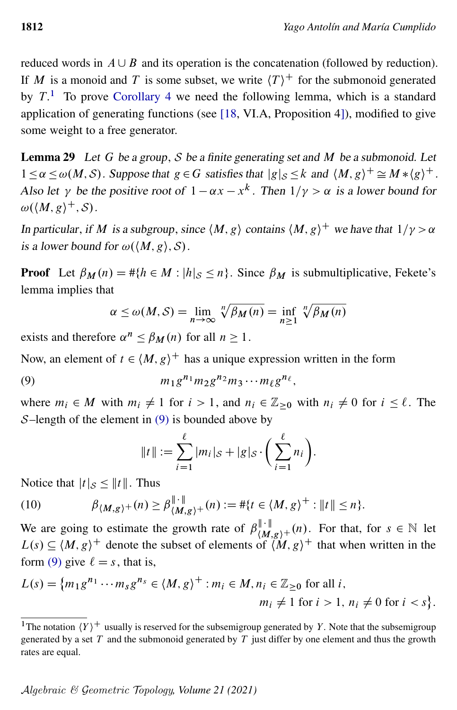reduced words in  $A \cup B$  and its operation is the concatenation (followed by reduction). If M is a monoid and T is some subset, we write  $\langle T \rangle^+$  for the submonoid generated by  $T<sup>1</sup>$  $T<sup>1</sup>$  $T<sup>1</sup>$ . To prove [Corollary 4](#page-4-1) we need the following lemma, which is a standard application of generating functions (see [\[18,](#page-25-7) VI.A, Proposition 4]), modified to give some weight to a free generator.

<span id="page-21-3"></span>**Lemma 29** Let G be a group, S be a finite generating set and M be a submonoid. Let  $1 \le \alpha \le \omega(M, S)$ . Suppose that  $g \in G$  satisfies that  $|g|_{S} \le k$  and  $\langle M, g \rangle^{+} \cong M * \langle g \rangle^{+}$ . Also let  $\gamma$  be the positive root of  $1 - \alpha x - x^k$ . Then  $1/\gamma > \alpha$  is a lower bound for  $\omega(\langle M, g \rangle^+, \mathcal{S}).$ 

In particular, if M is a subgroup, since  $\langle M, g \rangle$  contains  $\langle M, g \rangle^+$  we have that  $1/\gamma > \alpha$ is a lower bound for  $\omega(\langle M, g \rangle, \mathcal{S})$ .

**Proof** Let  $\beta_M(n) = #\{h \in M : |h|_{\mathcal{S}} \le n\}$ . Since  $\beta_M$  is submultiplicative, Fekete's lemma implies that

$$
\alpha \le \omega(M, S) = \lim_{n \to \infty} \sqrt[n]{\beta_M(n)} = \inf_{n \ge 1} \sqrt[n]{\beta_M(n)}
$$

exists and therefore  $\alpha^n \leq \beta_M(n)$  for all  $n \geq 1$ .

Now, an element of  $t \in \langle M, g \rangle^+$  has a unique expression written in the form

$$
(9) \t m_1 g^{n_1} m_2 g^{n_2} m_3 \cdots m_\ell g^{n_\ell},
$$

where  $m_i \in M$  with  $m_i \neq 1$  for  $i > 1$ , and  $n_i \in \mathbb{Z}_{\geq 0}$  with  $n_i \neq 0$  for  $i \leq \ell$ . The S-length of the element in  $(9)$  is bounded above by

<span id="page-21-2"></span><span id="page-21-1"></span>
$$
||t|| := \sum_{i=1}^{\ell} |m_i|_{\mathcal{S}} + |g|_{\mathcal{S}} \cdot \left( \sum_{i=1}^{\ell} n_i \right).
$$

Notice that  $|t|_{\mathcal{S}} \leq ||t||$ . Thus

(10) 
$$
\beta_{\{M,g\}}+(n) \geq \beta_{\{M,g\}}^{\|\cdot\|}+(n) := # \{t \in \{M,g\}^+ : \|t\| \leq n\}.
$$

We are going to estimate the growth rate of  $\beta_{(M,g)^{+}}^{||\cdot||}(n)$ . For that, for  $s \in \mathbb{N}$  let  $L(s) \subseteq \langle M, g \rangle^+$  denote the subset of elements of  $\langle M, g \rangle^+$  that when written in the form [\(9\)](#page-21-1) give  $\ell = s$ , that is,

$$
L(s) = \{m_1g^{n_1} \cdots m_s g^{n_s} \in \langle M, g \rangle^+ : m_i \in M, n_i \in \mathbb{Z}_{\geq 0} \text{ for all } i, m_i \neq 1 \text{ for } i > 1, n_i \neq 0 \text{ for } i < s \}.
$$

<span id="page-21-0"></span><sup>&</sup>lt;sup>1</sup>The notation  $\langle Y \rangle^+$  usually is reserved for the subsemigroup generated by Y. Note that the subsemigroup generated by a set  $T$  and the submonoid generated by  $T$  just differ by one element and thus the growth rates are equal.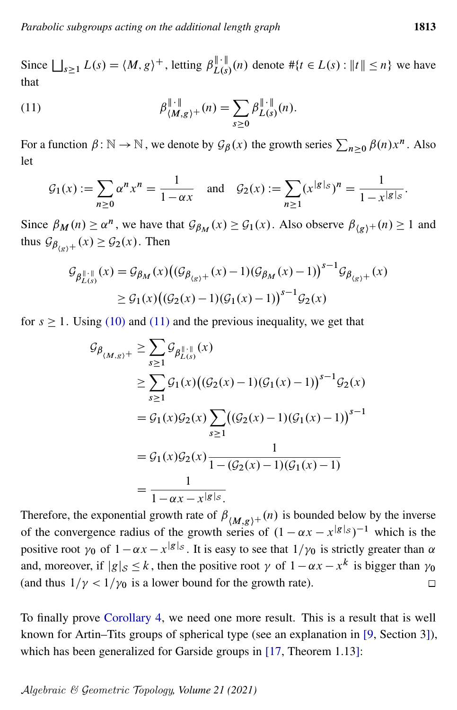<span id="page-22-0"></span>Since  $\bigsqcup_{s\geq 1} L(s) = \langle M, g \rangle^+$ , letting  $\beta_{L(s)}^{\|\cdot\|}(n)$  denote  $\#\{t \in L(s) : \|t\| \leq n\}$  we have that

(11) 
$$
\beta_{\{M,g\}^+}^{\|\cdot\|}(n) = \sum_{s\geq 0} \beta_{L(s)}^{\|\cdot\|}(n).
$$

For a function  $\beta : \mathbb{N} \to \mathbb{N}$ , we denote by  $\mathcal{G}_{\beta}(x)$  the growth series  $\sum_{n\geq 0} \beta(n)x^n$ . Also let

$$
\mathcal{G}_1(x) := \sum_{n \ge 0} \alpha^n x^n = \frac{1}{1 - \alpha x} \quad \text{and} \quad \mathcal{G}_2(x) := \sum_{n \ge 1} (x^{|g|_S})^n = \frac{1}{1 - x^{|g|_S}}.
$$

Since  $\beta_M(n) \ge \alpha^n$ , we have that  $\mathcal{G}_{\beta_M}(x) \ge \mathcal{G}_1(x)$ . Also observe  $\beta_{\langle g \rangle^+}(n) \ge 1$  and thus  $\mathcal{G}_{\beta_{(g)}+}(x) \geq \mathcal{G}_2(x)$ . Then

$$
\mathcal{G}_{\beta_{L(s)}^{\|\cdot\|}}(x) = \mathcal{G}_{\beta_M}(x) \big( (\mathcal{G}_{\beta_{(g)}+}(x) - 1) (\mathcal{G}_{\beta_M}(x) - 1) \big)^{s-1} \mathcal{G}_{\beta_{(g)}+}(x)
$$
  
 
$$
\geq \mathcal{G}_1(x) \big( (\mathcal{G}_2(x) - 1) (\mathcal{G}_1(x) - 1) \big)^{s-1} \mathcal{G}_2(x)
$$

for  $s \ge 1$ . Using [\(10\)](#page-21-2) and [\(11\)](#page-22-0) and the previous inequality, we get that

$$
G_{\beta_{(M,g)}+} \geq \sum_{s\geq 1} \mathcal{G}_{\beta_{L(s)}^{\|\cdot\|}}(x)
$$
  
\n
$$
\geq \sum_{s\geq 1} \mathcal{G}_{1}(x) \big((\mathcal{G}_{2}(x) - 1)(\mathcal{G}_{1}(x) - 1)\big)^{s-1} \mathcal{G}_{2}(x)
$$
  
\n
$$
= \mathcal{G}_{1}(x) \mathcal{G}_{2}(x) \sum_{s\geq 1} \big((\mathcal{G}_{2}(x) - 1)(\mathcal{G}_{1}(x) - 1)\big)^{s-1}
$$
  
\n
$$
= \mathcal{G}_{1}(x) \mathcal{G}_{2}(x) \frac{1}{1 - (\mathcal{G}_{2}(x) - 1)(\mathcal{G}_{1}(x) - 1)}
$$
  
\n
$$
= \frac{1}{1 - \alpha x - x^{|g|_s}}.
$$

Therefore, the exponential growth rate of  $\beta_{(M,g)^+}(n)$  is bounded below by the inverse of the convergence radius of the growth series of  $(1 - \alpha x - x^{g|g|_S})^{-1}$  which is the positive root  $\gamma_0$  of  $1 - \alpha x - x^{g|g|_S}$ . It is easy to see that  $1/\gamma_0$  is strictly greater than  $\alpha$ and, moreover, if  $|g|_{\mathcal{S}} \leq k$ , then the positive root  $\gamma$  of  $1 - \alpha x - x^k$  is bigger than  $\gamma_0$ (and thus  $1/\gamma < 1/\gamma_0$  is a lower bound for the growth rate).  $\Box$ 

<span id="page-22-1"></span>To finally prove [Corollary 4,](#page-4-1) we need one more result. This is a result that is well known for Artin–Tits groups of spherical type (see an explanation in [\[9,](#page-24-3) Section 3]), which has been generalized for Garside groups in [\[17,](#page-25-8) Theorem 1.13]: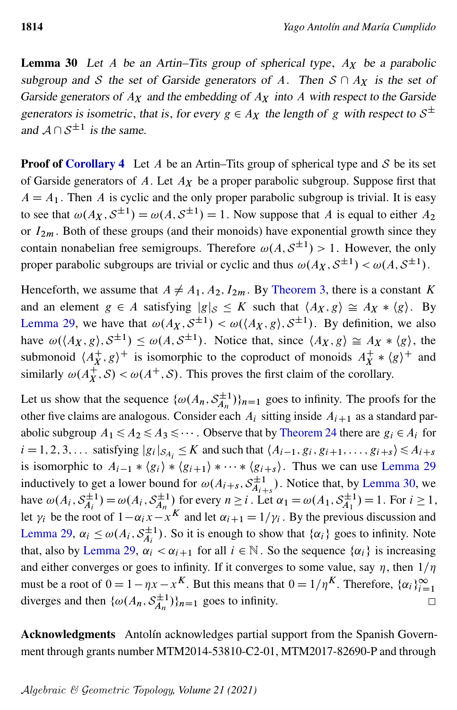**Lemma 30** Let A be an Artin–Tits group of spherical type,  $A_X$  be a parabolic subgroup and S the set of Garside generators of A. Then  $S \cap A_X$  is the set of Garside generators of  $A_X$  and the embedding of  $A_X$  into A with respect to the Garside generators is isometric, that is, for every  $g \in A_X$  the length of g with respect to  $S^{\pm}$ and  $A \cap S^{\pm 1}$  is the same.

**Proof of [Corollary 4](#page-4-1)** Let A be an Artin–Tits group of spherical type and S be its set of Garside generators of A. Let  $A_X$  be a proper parabolic subgroup. Suppose first that  $A = A_1$ . Then A is cyclic and the only proper parabolic subgroup is trivial. It is easy to see that  $\omega(A_X, S^{\pm 1}) = \omega(A, S^{\pm 1}) = 1$ . Now suppose that A is equal to either  $A_2$ or  $I_{2m}$ . Both of these groups (and their monoids) have exponential growth since they contain nonabelian free semigroups. Therefore  $\omega(A, \mathcal{S}^{\pm 1}) > 1$ . However, the only proper parabolic subgroups are trivial or cyclic and thus  $\omega(A_X, \mathcal{S}^{\pm 1}) < \omega(A, \mathcal{S}^{\pm 1})$ .

Henceforth, we assume that  $A \neq A_1, A_2, I_{2m}$ . By [Theorem 3,](#page-3-1) there is a constant K and an element  $g \in A$  satisfying  $|g|_{\mathcal{S}} \leq K$  such that  $\langle A_X, g \rangle \cong A_X * \langle g \rangle$ . By [Lemma 29,](#page-21-3) we have that  $\omega(A_X, S^{\pm 1}) < \omega(\langle A_X, g \rangle, S^{\pm 1})$ . By definition, we also have  $\omega(\langle A_X, g \rangle, S^{\pm 1}) \leq \omega(A, S^{\pm 1})$ . Notice that, since  $\langle A_X, g \rangle \cong A_X * \langle g \rangle$ , the submonoid  $\langle A^+_X \rangle$  $\chi^+(x, g)$ <sup>+</sup> is isomorphic to the coproduct of monoids  $A_X^+$  $X^+ * \langle g \rangle^+$  and similarly  $\omega(A_X^+, \mathcal{S}) < \omega(A^+, \mathcal{S})$ . This proves the first claim of the corollary.

Let us show that the sequence  $\{\omega(A_n, S_{A_n}^{\pm 1}\})$  $\langle \frac{1}{A_n}1 \rangle \}_{n=1}$  goes to infinity. The proofs for the other five claims are analogous. Consider each  $A_i$  sitting inside  $A_{i+1}$  as a standard parabolic subgroup  $A_1 \leq A_2 \leq A_3 \leq \cdots$ . Observe that by [Theorem 24](#page-14-0) there are  $g_i \in A_i$  for  $i = 1, 2, 3, \dots$  satisfying  $|g_i|_{S_{A_i}} \le K$  and such that  $\langle A_{i-1}, g_i, g_{i+1}, \dots, g_{i+s} \rangle \le A_{i+s}$ is isomorphic to  $A_{i-1} * \langle g_i \rangle * \langle g_{i+1} \rangle * \cdots * \langle g_{i+s} \rangle$ . Thus we can use [Lemma 29](#page-21-3) inductively to get a lower bound for  $\omega(A_{i+s}, S_{A_{i}}^{\pm 1})$  $\chi_{A_{i+s}}^{\pm 1}$ ). Notice that, by [Lemma 30,](#page-22-1) we have  $\omega(A_i, \mathcal{S}_{A_i}^{\pm 1})$  $\mathcal{S}_{A_i}^{\pm 1}$ ) =  $\omega(A_i, \mathcal{S}_{A_n}^{\pm 1})$  $\sum_{A_n=1}^{n+1}$  for every  $n \ge i$ . Let  $\alpha_1 = \omega(A_1, \mathcal{S}_{A_1}^{\pm 1})$  $\mathcal{E}_{A_1}^{\pm 1}$ ) = 1. For  $i \geq 1$ , let  $\gamma_i$  be the root of  $1 - \alpha_i x - x^K$  and let  $\alpha_{i+1} = 1/\gamma_i$ . By the previous discussion and [Lemma 29,](#page-21-3)  $\alpha_i \leq \omega(A_i, \mathcal{S}_{A_i}^{\pm 1})$  $\chi_{A_i}^{\pm 1}$ ). So it is enough to show that  $\{\alpha_i\}$  goes to infinity. Note that, also by [Lemma 29,](#page-21-3)  $\alpha_i < \alpha_{i+1}$  for all  $i \in \mathbb{N}$ . So the sequence  $\{\alpha_i\}$  is increasing and either converges or goes to infinity. If it converges to some value, say  $\eta$ , then  $1/\eta$ must be a root of  $0 = 1 - \eta x - x^K$ . But this means that  $0 = 1/\eta^K$ . Therefore,  $\{\alpha_i\}_{i=1}^{\infty}$ diverges and then  $\{\omega(A_n, S_{A_n}^{\pm 1}]\}$  $\langle \hat{f}_{A_n}^{\pm 1} \rangle$ <sub>n=1</sub> goes to infinity.  $\Box$ 

Acknowledgments Antolín acknowledges partial support from the Spanish Government through grants number MTM2014-53810-C2-01, MTM2017-82690-P and through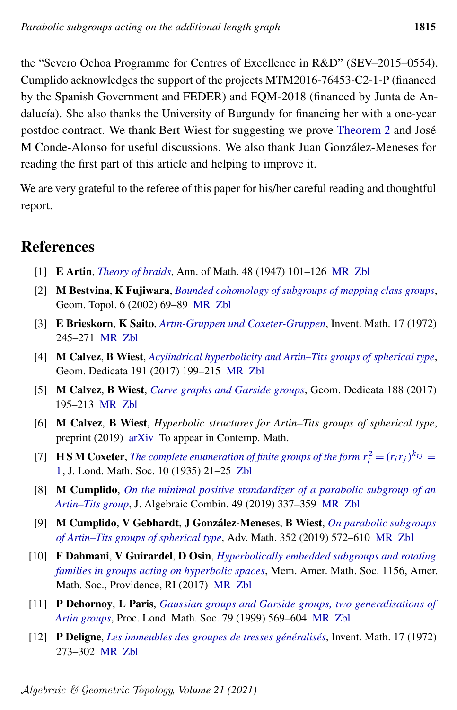the "Severo Ochoa Programme for Centres of Excellence in R&D" (SEV–2015–0554). Cumplido acknowledges the support of the projects MTM2016-76453-C2-1-P (financed by the Spanish Government and FEDER) and FQM-2018 (financed by Junta de Andalucía). She also thanks the University of Burgundy for financing her with a one-year postdoc contract. We thank Bert Wiest for suggesting we prove [Theorem 2](#page-3-0) and José M Conde-Alonso for useful discussions. We also thank Juan González-Meneses for reading the first part of this article and helping to improve it.

We are very grateful to the referee of this paper for his/her careful reading and thoughtful report.

# References

- <span id="page-24-0"></span>[1] E Artin, *[Theory of braids](http://dx.doi.org/10.2307/1969218)*, Ann. of Math. 48 (1947) 101–126 [MR](http://msp.org/idx/mr/19087) [Zbl](http://msp.org/idx/zbl/0030.17703)
- <span id="page-24-11"></span>[2] M Bestvina, K Fujiwara, *[Bounded cohomology of subgroups of mapping class groups](http://dx.doi.org/10.2140/gt.2002.6.69)*, Geom. Topol. 6 (2002) 69–89 [MR](http://msp.org/idx/mr/1914565) [Zbl](http://msp.org/idx/zbl/1021.57001)
- <span id="page-24-6"></span>[3] E Brieskorn, K Saito, *[Artin-Gruppen und Coxeter-Gruppen](http://dx.doi.org/10.1007/BF01406235)*, Invent. Math. 17 (1972) 245–271 [MR](http://msp.org/idx/mr/323910) [Zbl](http://msp.org/idx/zbl/0243.20037)
- <span id="page-24-10"></span>[4] M Calvez, B Wiest, *[Acylindrical hyperbolicity and Artin–Tits groups of spherical type](http://dx.doi.org/10.1007/s10711-017-0252-y)*, Geom. Dedicata 191 (2017) 199–215 [MR](http://msp.org/idx/mr/3719080) [Zbl](http://msp.org/idx/zbl/1423.20028)
- <span id="page-24-2"></span>[5] M Calvez, B Wiest, *[Curve graphs and Garside groups](http://dx.doi.org/10.1007/s10711-016-0213-x)*, Geom. Dedicata 188 (2017) 195–213 [MR](http://msp.org/idx/mr/3639631) [Zbl](http://msp.org/idx/zbl/1373.20048)
- <span id="page-24-4"></span>[6] M Calvez, B Wiest, *Hyperbolic structures for Artin–Tits groups of spherical type*, preprint (2019) [arXiv](http://msp.org/idx/arx/1904.02234) To appear in Contemp. Math.
- <span id="page-24-1"></span>[7] **HSM Coxeter**, *[The complete enumeration of finite groups of the form](http://dx.doi.org/10.1112/jlms/s1-10.37.21)*  $r_i^2 = (r_i r_j)^{k_{ij}} =$ [1](http://dx.doi.org/10.1112/jlms/s1-10.37.21), J. Lond. Math. Soc. 10 (1935) 21–25 [Zbl](http://msp.org/idx/zbl/0010.34202)
- <span id="page-24-8"></span>[8] M Cumplido, *[On the minimal positive standardizer of a parabolic subgroup of an](http://dx.doi.org/10.1007/s10801-018-0837-z) [Artin–Tits group](http://dx.doi.org/10.1007/s10801-018-0837-z)*, J. Algebraic Combin. 49 (2019) 337–359 [MR](http://msp.org/idx/mr/3945271) [Zbl](http://msp.org/idx/zbl/07082923)
- <span id="page-24-3"></span>[9] M Cumplido, V Gebhardt, J González-Meneses, B Wiest, *[On parabolic subgroups](http://dx.doi.org/10.1016/j.aim.2019.06.010) [of Artin–Tits groups of spherical type](http://dx.doi.org/10.1016/j.aim.2019.06.010)*, Adv. Math. 352 (2019) 572–610 [MR](http://msp.org/idx/mr/3964156) [Zbl](http://msp.org/idx/zbl/07082652)
- <span id="page-24-9"></span>[10] F Dahmani, V Guirardel, D Osin, *[Hyperbolically embedded subgroups and rotating](http://dx.doi.org/10.1090/memo/1156) [families in groups acting on hyperbolic spaces](http://dx.doi.org/10.1090/memo/1156)*, Mem. Amer. Math. Soc. 1156, Amer. Math. Soc., Providence, RI (2017) [MR](http://msp.org/idx/mr/3589159) [Zbl](http://msp.org/idx/zbl/1396.20041)
- <span id="page-24-5"></span>[11] P Dehornoy, L Paris, *[Gaussian groups and Garside groups, two generalisations of](http://dx.doi.org/10.1112/S0024611599012071) [Artin groups](http://dx.doi.org/10.1112/S0024611599012071)*, Proc. Lond. Math. Soc. 79 (1999) 569–604 [MR](http://msp.org/idx/mr/1710165) [Zbl](http://msp.org/idx/zbl/1030.20021)
- <span id="page-24-7"></span>[12] P Deligne, *[Les immeubles des groupes de tresses généralisés](http://dx.doi.org/10.1007/BF01406236)*, Invent. Math. 17 (1972) 273–302 [MR](http://msp.org/idx/mr/422673) [Zbl](http://msp.org/idx/zbl/0238.20034)